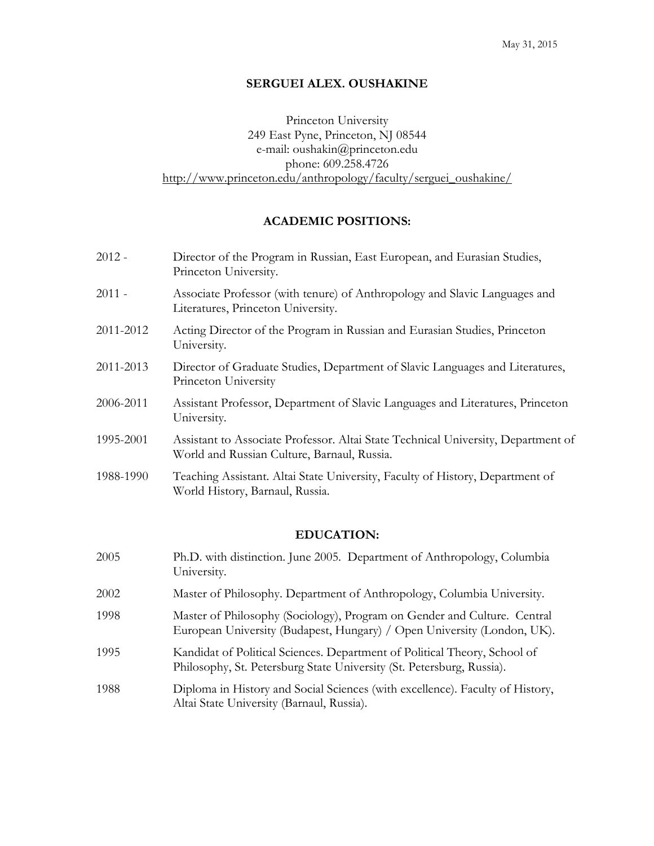### **SERGUEI ALEX. OUSHAKINE**

Princeton University 249 East Pyne, Princeton, NJ 08544 e-mail: oushakin@princeton.edu phone: 609.258.4726 [http://www.princeton.edu/anthropology/faculty/serguei\\_oushakine/](http://www.princeton.edu/anthropology/faculty/Serguei_Oushakine/)

## **ACADEMIC POSITIONS:**

| $2012 -$  | Director of the Program in Russian, East European, and Eurasian Studies,<br>Princeton University.                                |
|-----------|----------------------------------------------------------------------------------------------------------------------------------|
| 2011 -    | Associate Professor (with tenure) of Anthropology and Slavic Languages and<br>Literatures, Princeton University.                 |
| 2011-2012 | Acting Director of the Program in Russian and Eurasian Studies, Princeton<br>University.                                         |
| 2011-2013 | Director of Graduate Studies, Department of Slavic Languages and Literatures,<br>Princeton University                            |
| 2006-2011 | Assistant Professor, Department of Slavic Languages and Literatures, Princeton<br>University.                                    |
| 1995-2001 | Assistant to Associate Professor. Altai State Technical University, Department of<br>World and Russian Culture, Barnaul, Russia. |
| 1988-1990 | Teaching Assistant. Altai State University, Faculty of History, Department of<br>World History, Barnaul, Russia.                 |
|           | EDUCATION <sub>'</sub>                                                                                                           |

## **EDUCATION:**

2005 Ph.D. with distinction. June 2005. Department of Anthropology, Columbia University. 2002 Master of Philosophy. Department of Anthropology, Columbia University. 1998 Master of Philosophy (Sociology), Program on Gender and Culture. Central European University (Budapest, Hungary) / Open University (London, UK). 1995 Kandidat of Political Sciences. Department of Political Theory, School of Philosophy, St. Petersburg State University (St. Petersburg, Russia). 1988 Diploma in History and Social Sciences (with excellence). Faculty of History, Altai State University (Barnaul, Russia).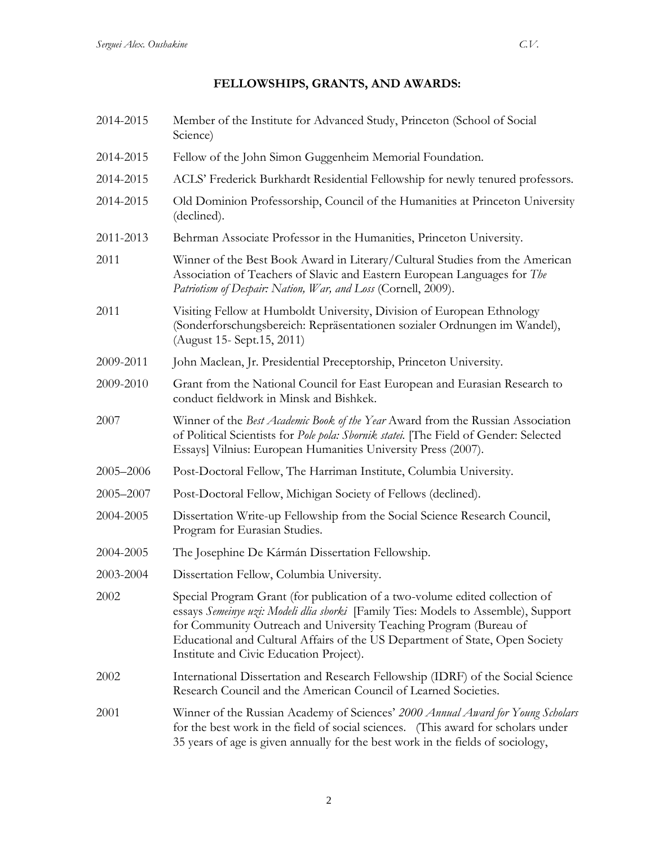## **FELLOWSHIPS, GRANTS, AND AWARDS:**

- 2014-2015 Member of the Institute for Advanced Study, Princeton (School of Social Science)
- 2014-2015 Fellow of the John Simon Guggenheim Memorial Foundation.
- 2014-2015 ACLS' Frederick Burkhardt Residential Fellowship for newly tenured professors.
- 2014-2015 Old Dominion Professorship, Council of the Humanities at Princeton University (declined).
- 2011-2013 Behrman Associate Professor in the Humanities, Princeton University.
- 2011 Winner of the Best Book Award in Literary/Cultural Studies from the American Association of Teachers of Slavic and Eastern European Languages for *The Patriotism of Despair: Nation, War, and Loss* (Cornell, 2009).
- 2011 Visiting Fellow at Humboldt University, Division of European Ethnology (Sonderforschungsbereich: Repräsentationen sozialer Ordnungen im Wandel), (August 15- Sept.15, 2011)
- 2009-2011 John Maclean, Jr. Presidential Preceptorship, Princeton University.
- 2009-2010 Grant from the National Council for East European and Eurasian Research to conduct fieldwork in Minsk and Bishkek.
- 2007 Winner of the *Best Academic Book of the Year* Award from the Russian Association of Political Scientists for *Pole pola: Sbornik statei.* [The Field of Gender: Selected Essays] Vilnius: European Humanities University Press (2007).
- 2005–2006 Post-Doctoral Fellow, The Harriman Institute, Columbia University.
- 2005–2007 Post-Doctoral Fellow, Michigan Society of Fellows (declined).
- 2004-2005 Dissertation Write-up Fellowship from the Social Science Research Council, Program for Eurasian Studies.
- 2004-2005 The Josephine De Kármán Dissertation Fellowship.
- 2003-2004 Dissertation Fellow, Columbia University.
- 2002 Special Program Grant (for publication of a two-volume edited collection of essays *Semeinye uzi: Modeli dlia sborki* [Family Ties: Models to Assemble), Support for Community Outreach and University Teaching Program (Bureau of Educational and Cultural Affairs of the US Department of State, Open Society Institute and Civic Education Project).
- 2002 International Dissertation and Research Fellowship (IDRF) of the Social Science Research Council and the American Council of Learned Societies.
- 2001 Winner of the Russian Academy of Sciences' *2000 Annual Award for Young Scholars* for the best work in the field of social sciences. (This award for scholars under 35 years of age is given annually for the best work in the fields of sociology,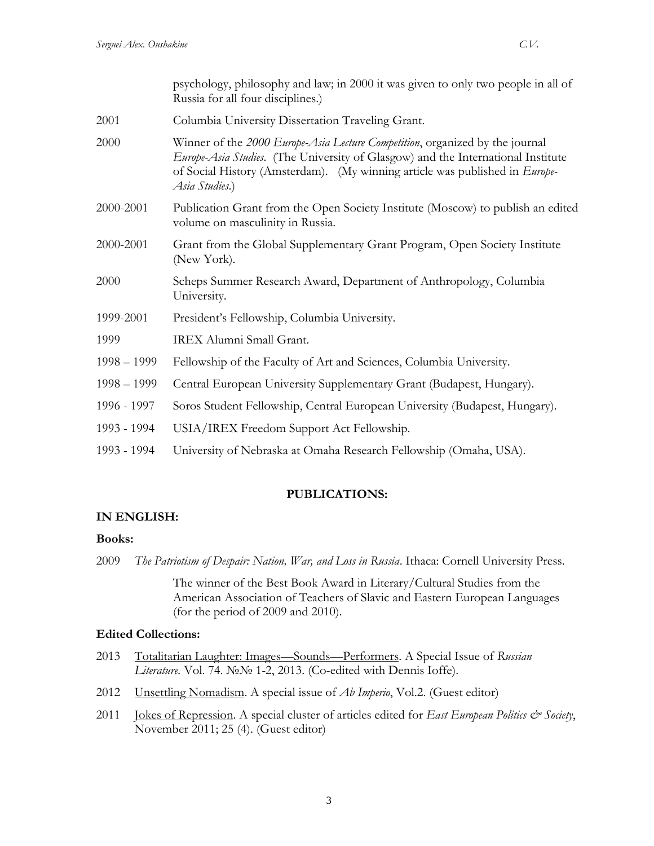|               | psychology, philosophy and law; in 2000 it was given to only two people in all of<br>Russia for all four disciplines.)                                                                                                                                            |
|---------------|-------------------------------------------------------------------------------------------------------------------------------------------------------------------------------------------------------------------------------------------------------------------|
| 2001          | Columbia University Dissertation Traveling Grant.                                                                                                                                                                                                                 |
| 2000          | Winner of the 2000 Europe-Asia Lecture Competition, organized by the journal<br>Europe-Asia Studies. (The University of Glasgow) and the International Institute<br>of Social History (Amsterdam). (My winning article was published in Europe-<br>Asia Studies.) |
| 2000-2001     | Publication Grant from the Open Society Institute (Moscow) to publish an edited<br>volume on masculinity in Russia.                                                                                                                                               |
| 2000-2001     | Grant from the Global Supplementary Grant Program, Open Society Institute<br>(New York).                                                                                                                                                                          |
| 2000          | Scheps Summer Research Award, Department of Anthropology, Columbia<br>University.                                                                                                                                                                                 |
| 1999-2001     | President's Fellowship, Columbia University.                                                                                                                                                                                                                      |
| 1999          | IREX Alumni Small Grant.                                                                                                                                                                                                                                          |
| $1998 - 1999$ | Fellowship of the Faculty of Art and Sciences, Columbia University.                                                                                                                                                                                               |
| $1998 - 1999$ | Central European University Supplementary Grant (Budapest, Hungary).                                                                                                                                                                                              |
| 1996 - 1997   | Soros Student Fellowship, Central European University (Budapest, Hungary).                                                                                                                                                                                        |
| 1993 - 1994   | USIA/IREX Freedom Support Act Fellowship.                                                                                                                                                                                                                         |
| 1993 - 1994   | University of Nebraska at Omaha Research Fellowship (Omaha, USA).                                                                                                                                                                                                 |

# **PUBLICATIONS:**

# **IN ENGLISH:**

## **Books:**

2009 *The Patriotism of Despair: Nation, War, and Loss in Russia*. Ithaca: Cornell University Press.

The winner of the Best Book Award in Literary/Cultural Studies from the American Association of Teachers of Slavic and Eastern European Languages (for the period of 2009 and 2010).

# **Edited Collections:**

- 2013 Totalitarian Laughter: Images—Sounds—Performers. A Special Issue of *Russian Literature.* Vol. 74. №№ 1-2, 2013. (Co-edited with Dennis Ioffe).
- 2012 Unsettling Nomadism. A special issue of *Ab Imperio*, Vol.2. (Guest editor)
- 2011 **Jokes of Repression**. A special cluster of articles edited for *East European Politics & Society*, November 2011; 25 (4). (Guest editor)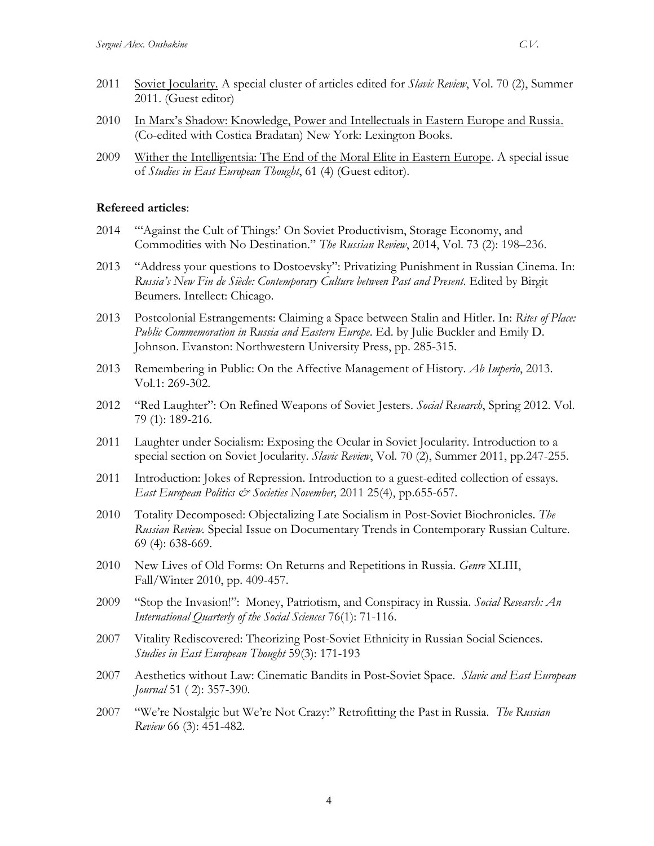- 2011 Soviet Jocularity. A special cluster of articles edited for *Slavic Review*, Vol. 70 (2), Summer 2011. (Guest editor)
- 2010 In Marx's Shadow: Knowledge, Power and Intellectuals in Eastern Europe and Russia. (Co-edited with Costica Bradatan) New York: Lexington Books.
- 2009 Wither the Intelligentsia: The End of the Moral Elite in Eastern Europe. A special issue of *Studies in East European Thought*, 61 (4) (Guest editor).

## **Refereed articles**:

- 2014 "'Against the Cult of Things:' On Soviet Productivism, Storage Economy, and Commodities with No Destination." *The Russian Review*, 2014, Vol. 73 (2): 198–236.
- 2013 "Address your questions to Dostoevsky": Privatizing Punishment in Russian Cinema. In: *Russia's New Fin de Siècle: Contemporary Culture between Past and Present*. Edited by Birgit Beumers. Intellect: Chicago.
- 2013 Postcolonial Estrangements: Claiming a Space between Stalin and Hitler. In: *Rites of Place: Public Commemoration in Russia and Eastern Europe*. Ed. by Julie Buckler and Emily D. Johnson. Evanston: Northwestern University Press, pp. 285-315.
- 2013 Remembering in Public: On the Affective Management of History. *Ab Imperio*, 2013. Vol.1: 269-302.
- 2012 "Red Laughter": On Refined Weapons of Soviet Jesters. *Social Research*, Spring 2012. Vol. 79 (1): 189-216.
- 2011 Laughter under Socialism: Exposing the Ocular in Soviet Jocularity. Introduction to a special section on Soviet Jocularity. *Slavic Review*, Vol. 70 (2), Summer 2011, pp.247-255.
- 2011 Introduction: Jokes of Repression. Introduction to a guest-edited collection of essays. *East European Politics & Societies November,* 2011 25(4), pp.655-657.
- 2010 Totality Decomposed: Objectalizing Late Socialism in Post-Soviet Biochronicles. *The Russian Review.* Special Issue on Documentary Trends in Contemporary Russian Culture. 69 (4): 638-669.
- 2010 New Lives of Old Forms: On Returns and Repetitions in Russia. *Genre* XLIII, Fall/Winter 2010, pp. 409-457.
- 2009 "Stop the Invasion!": Money, Patriotism, and Conspiracy in Russia. *Social Research: An International Quarterly of the Social Sciences* 76(1): 71-116.
- 2007 Vitality Rediscovered: Theorizing Post-Soviet Ethnicity in Russian Social Sciences. *Studies in East European Thought* 59(3): 171-193
- 2007 Aesthetics without Law: Cinematic Bandits in Post-Soviet Space. *Slavic and East European Journal* 51 ( 2): 357-390.
- 2007 "We're Nostalgic but We're Not Crazy:" Retrofitting the Past in Russia. *The Russian Review* 66 (3): 451-482.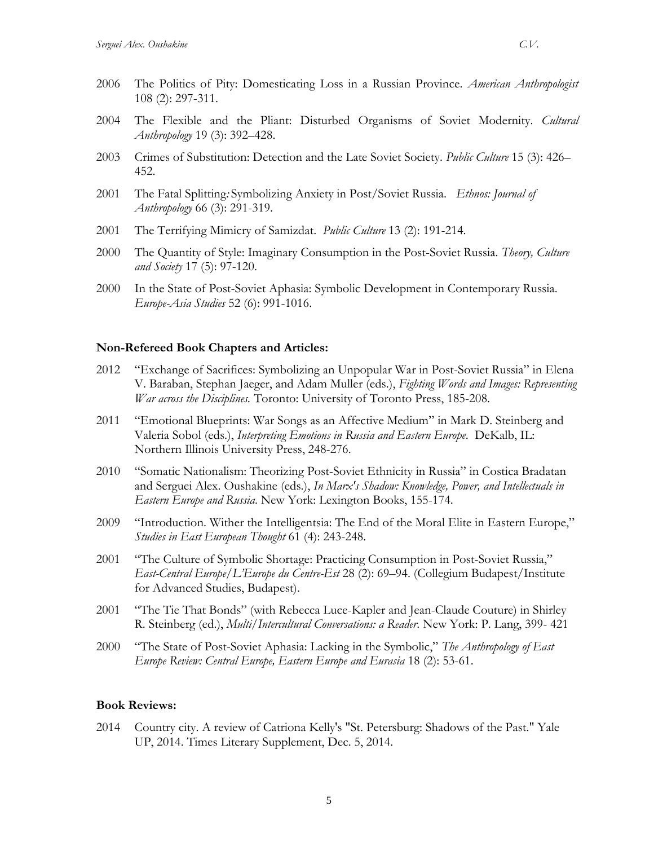- 2004 The Flexible and the Pliant: Disturbed Organisms of Soviet Modernity. *Cultural Anthropology* 19 (3): 392–428.
- 2003 Crimes of Substitution: Detection and the Late Soviet Society. *Public Culture* 15 (3): 426– 452.
- 2001 The Fatal Splitting*:* Symbolizing Anxiety in Post/Soviet Russia. *Ethnos: Journal of Anthropology* 66 (3): 291-319.
- 2001 The Terrifying Mimicry of Samizdat. *Public Culture* 13 (2): 191-214.
- 2000 The Quantity of Style: Imaginary Consumption in the Post-Soviet Russia. *Theory, Culture and Society* 17 (5): 97-120.
- 2000 In the State of Post-Soviet Aphasia: Symbolic Development in Contemporary Russia. *Europe-Asia Studies* 52 (6): 991-1016.

#### **Non-Refereed Book Chapters and Articles:**

- 2012 "Exchange of Sacrifices: Symbolizing an Unpopular War in Post-Soviet Russia" in Elena V. Baraban, Stephan Jaeger, and Adam Muller (eds.), *Fighting Words and Images: Representing War across the Disciplines.* Toronto: University of Toronto Press, 185-208.
- 2011 "Emotional Blueprints: War Songs as an Affective Medium" in Mark D. Steinberg and Valeria Sobol (eds.), *Interpreting Emotions in Russia and Eastern Europe*. DeKalb, IL: Northern Illinois University Press, 248-276.
- 2010 "Somatic Nationalism: Theorizing Post-Soviet Ethnicity in Russia" in Costica Bradatan and Serguei Alex. Oushakine (eds.), *In Marx's Shadow: Knowledge, Power, and Intellectuals in Eastern Europe and Russia*. New York: Lexington Books, 155-174.
- 2009 "Introduction. Wither the Intelligentsia: The End of the Moral Elite in Eastern Europe," *Studies in East European Thought* 61 (4): 243-248.
- 2001 "The Culture of Symbolic Shortage: Practicing Consumption in Post-Soviet Russia," *East-Central Europe/L'Europe du Centre-Est* 28 (2): 69–94. (Collegium Budapest/Institute for Advanced Studies, Budapest).
- 2001 "The Tie That Bonds" (with Rebecca Luce-Kapler and Jean-Claude Couture) in Shirley R. Steinberg (ed.), *Multi/Intercultural Conversations: a Reader*. New York: P. Lang, 399- 421
- 2000 "The State of Post-Soviet Aphasia: Lacking in the Symbolic," *The Anthropology of East Europe Review: Central Europe, Eastern Europe and Eurasia* 18 (2): 53-61.

#### **Book Reviews:**

2014 Country city. A review of Catriona Kelly's "St. Petersburg: Shadows of the Past." Yale UP, 2014. Times Literary Supplement, Dec. 5, 2014.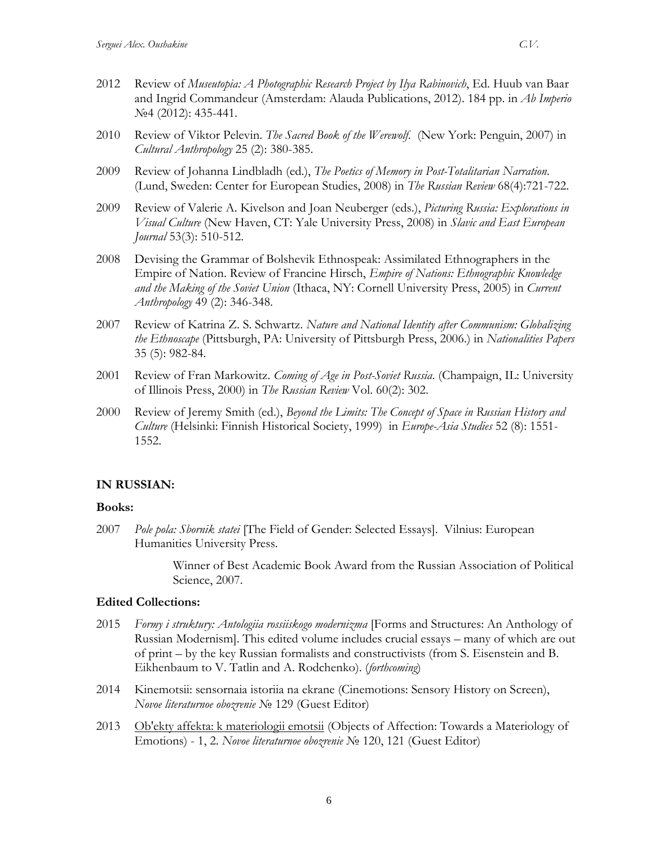- 2012 Review of *Museutopia: A [Photographic](http://www.academia.edu/2902516/A_book_review_Museutopia_A_Photographic_Research_Project_by_Ilya_Rabinovich_Ed._Huub_van_Baar_and_Ingrid_Commandeur_Amsterdam_Alauda_Publications_2012_._184_pp._ISBN_9789081531405) Research Project by Ilya Rabinovich*, Ed. Huub van Baar and Ingrid [Commandeur](http://www.academia.edu/2902516/A_book_review_Museutopia_A_Photographic_Research_Project_by_Ilya_Rabinovich_Ed._Huub_van_Baar_and_Ingrid_Commandeur_Amsterdam_Alauda_Publications_2012_._184_pp._ISBN_9789081531405) (Amsterdam: Alauda Publications, 2012). 184 pp. in *Ab Imperio* №4 (2012): 435-441.
- 2010 Review of Viktor Pelevin. *The Sacred Book of the Werewolf*. (New York: Penguin, 2007) in *Cultural Anthropology* 25 (2): 380-385.
- 2009 Review of Johanna Lindbladh (ed.), *The Poetics of Memory in Post-Totalitarian Narration*. (Lund, Sweden: Center for European Studies, 2008) in *The Russian Review* 68(4):721-722.
- 2009 Review of Valerie A. Kivelson and Joan Neuberger (eds.), *Picturing Russia: Explorations in Visual Culture* (New Haven, CT: Yale University Press, 2008) in *Slavic and East European Journal* 53(3): 510-512.
- 2008 Devising the Grammar of Bolshevik Ethnospeak: Assimilated Ethnographers in the Empire of Nation. Review of Francine Hirsch, *Empire of Nations: Ethnographic Knowledge and the Making of the Soviet Union* (Ithaca, NY: Cornell University Press, 2005) in *Current Anthropology* 49 (2): 346-348.
- 2007 Review of Katrina Z. S. Schwartz. *Nature and National Identity after Communism: Globalizing the Ethnoscape* (Pittsburgh, PA: University of Pittsburgh Press, 2006.) in *Nationalities Papers*  35 (5): 982-84.
- 2001 Review of Fran Markowitz. *Coming of Age in Post-Soviet Russia*. (Champaign, IL: University of Illinois Press, 2000) in *The Russian Review* Vol. 60(2): 302.
- 2000 Review of Jeremy Smith (ed.), *Beyond the Limits: The Concept of Space in Russian History and Culture* (Helsinki: Finnish Historical Society, 1999) in *Europe-Asia Studies* 52 (8): 1551- 1552.

### **IN RUSSIAN:**

#### **Books:**

2007 *Pole pola: Sbornik statei* [The Field of Gender: Selected Essays]. Vilnius: European Humanities University Press.

> Winner of Best Academic Book Award from the Russian Association of Political Science, 2007.

#### **Edited Collections:**

- 2015 *Formy i struktury: Antologiia rossiiskogo modernizma* [Forms and Structures: An Anthology of Russian Modernism]. This edited volume includes crucial essays – many of which are out of print – by the key Russian formalists and constructivists (from S. Eisenstein and B. Eikhenbaum to V. Tatlin and A. Rodchenko). (*forthcoming*)
- 2014 Kinemotsii: sensornaia istoriia na ekrane (Cinemotions: Sensory History on Screen), *Novoe literaturnoe obozrenie* № 129 (Guest Editor)
- 2013 Ob'ekty affekta: k materiologii emotsii (Objects of Affection: Towards a Materiology of Emotions) - 1, 2. *Novoe literaturnoe obozrenie* № 120, 121 (Guest Editor)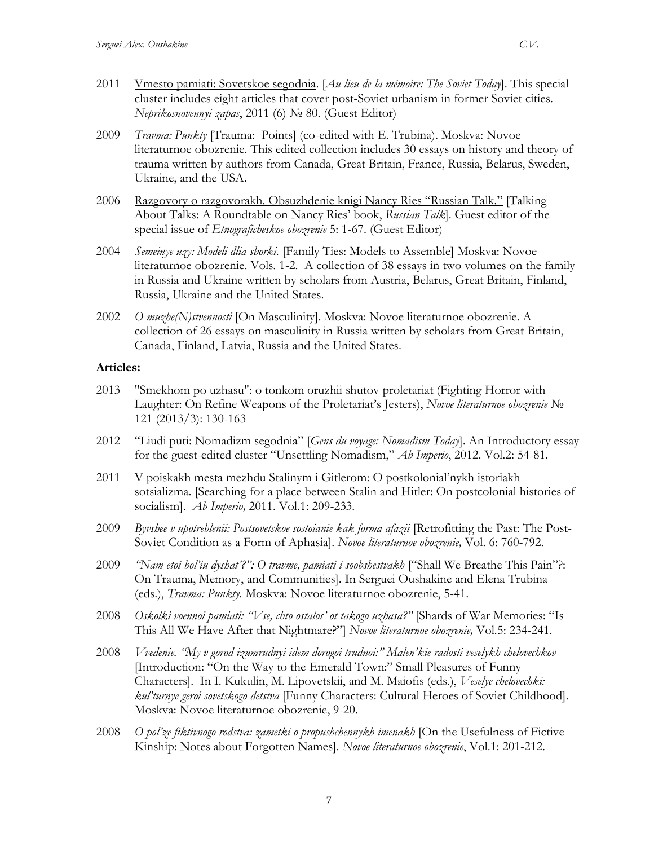- 2011 Vmesto pamiati: Sovetskoe segodnia. [*Au lieu de la mémoire: The Soviet Today*]. This special cluster includes eight articles that cover post-Soviet urbanism in former Soviet cities. *Neprikosnovennyi zapas*, 2011 (6) № 80. (Guest Editor)
- 2009 *Travma: Punkty* [Trauma: Points] (co-edited with E. Trubina). Moskva: Novoe literaturnoe obozrenie. This edited collection includes 30 essays on history and theory of trauma written by authors from Canada, Great Britain, France, Russia, Belarus, Sweden, Ukraine, and the USA.
- 2006 Razgovory o razgovorakh. Obsuzhdenie knigi Nancy Ries "Russian Talk." [Talking About Talks: A Roundtable on Nancy Ries' book, *Russian Talk*]. Guest editor of the special issue of *Etnograficheskoe obozrenie* 5: 1-67. (Guest Editor)
- 2004 *Semeinye uzy: Modeli dlia sborki.* [Family Ties: Models to Assemble] Moskva: Novoe literaturnoe obozrenie. Vols. 1-2. A collection of 38 essays in two volumes on the family in Russia and Ukraine written by scholars from Austria, Belarus, Great Britain, Finland, Russia, Ukraine and the United States.
- 2002 *O muzhe(N)stvennosti* [On Masculinity]. Moskva: Novoe literaturnoe obozrenie. A collection of 26 essays on masculinity in Russia written by scholars from Great Britain, Canada, Finland, Latvia, Russia and the United States.

#### **Articles:**

- 2013 "Smekhom po uzhasu": o tonkom oruzhii shutov proletariat (Fighting Horror with Laughter: On Refine Weapons of the Proletariat's Jesters), *Novoe literaturnoe obozrenie* № 121 (2013/3): 130-163
- 2012 "Liudi puti: Nomadizm segodnia" [*Gens du voyage: Nomadism Today*]. An Introductory essay for the guest-edited cluster "Unsettling Nomadism," *Ab Imperio*, 2012. Vol.2: 54-81.
- 2011 V poiskakh mesta mezhdu Stalinym i Gitlerom: O postkolonial'nykh istoriakh sotsializma. [Searching for a place between Stalin and Hitler: On postcolonial histories of socialism]. *Ab Imperio,* 2011. Vol.1: 209-233.
- 2009 *Byvshee v upotreblenii: Postsovetskoe sostoianie kak forma afazii* [Retrofitting the Past: The Post-Soviet Condition as a Form of Aphasia]. *Novoe literaturnoe obozrenie,* Vol. 6: 760-792.
- 2009 *"Nam etoi bol'iu dyshat'?": O travme, pamiati i soobshestvakh* ["Shall We Breathe This Pain"?: On Trauma, Memory, and Communities]. In Serguei Oushakine and Elena Trubina (eds.), *Travma: Punkty*. Moskva: Novoe literaturnoe obozrenie, 5-41.
- 2008 *Oskolki voennoi pamiati: "Vse, chto ostalos' ot takogo uzhasa?"* [Shards of War Memories: "Is This All We Have After that Nightmare?"] *Novoe literaturnoe obozrenie,* Vol*.*5: 234-241.
- 2008 *Vvedenie. "My v gorod izumrudnyi idem dorogoi trudnoi:" Malen'kie radosti veselykh chelovechkov* [Introduction: "On the Way to the Emerald Town:" Small Pleasures of Funny Characters]. In I. Kukulin, M. Lipovetskii, and M. Maiofis (eds.), *Veselye chelovechki: kul'turnye geroi sovetskogo detstva* [Funny Characters: Cultural Heroes of Soviet Childhood]. Moskva: Novoe literaturnoe obozrenie, 9-20.
- 2008 *O pol'ze fiktivnogo rodstva: zametki o propushchennykh imenakh* [On the Usefulness of Fictive Kinship: Notes about Forgotten Names]. *Novoe literaturnoe obozrenie*, Vol.1: 201-212.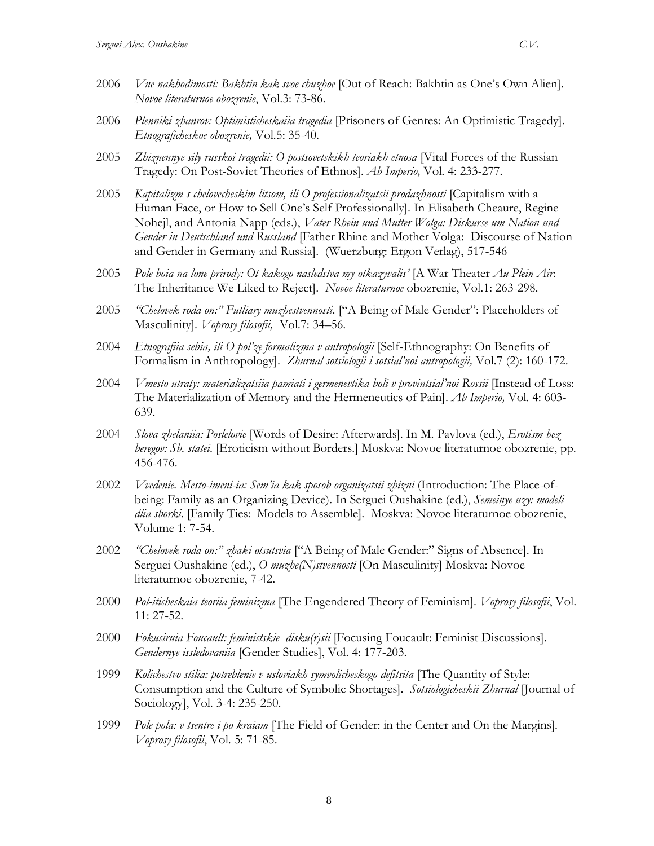- 2006 *Plenniki zhanrov: Optimisticheskaiia tragedia* [Prisoners of Genres: An Optimistic Tragedy]. *Etnograficheskoe obozrenie,* Vol*.*5: 35-40.
- 2005 *Zhiznennye sily russkoi tragedii: O postsovetskikh teoriakh etnosa* [Vital Forces of the Russian Tragedy: On Post-Soviet Theories of Ethnos]. *Ab Imperio,* Vol*.* 4: 233-277.
- 2005 *Kapitalizm s chelovecheskim litsom, ili O professionalizatsii prodazhnosti* [Capitalism with a Human Face, or How to Sell One's Self Professionally]. In Elisabeth Cheaure, Regine Nohejl, and Antonia Napp (eds.), *Vater Rhein und Mutter Wolga: Diskurse um Nation und Gender in Deutschland und Russland* [Father Rhine and Mother Volga: Discourse of Nation and Gender in Germany and Russia]. (Wuerzburg: Ergon Verlag), 517-546
- 2005 *Pole boia na lone prirody: Ot kakogo nasledstva my otkazyvalis'* [A War Theater *Au Plein Air*: The Inheritance We Liked to Reject]. *Novoe literaturnoe* obozrenie, Vol.1: 263-298.
- 2005 *"Chelovek roda on:" Futliary muzhestvennosti*. ["A Being of Male Gender": Placeholders of Masculinity]. *Voprosy filosofii,* Vol*.*7: 34–56.
- 2004 *Etnografiia sebia, ili O pol'ze formalizma v antropologii* [Self-Ethnography: On Benefits of Formalism in Anthropology]. *Zhurnal sotsiologii i sotsial'noi antropologii,* Vol*.*7 (2): 160-172.
- 2004 *Vmesto utraty: materializatsiia pamiati i germenevtika boli v provintsial'noi Rossii* [Instead of Loss: The Materialization of Memory and the Hermeneutics of Pain]. *Ab Imperio,* Vol*.* 4: 603- 639.
- 2004 *Slova zhelaniia: Poslelovie* [Words of Desire: Afterwards]. In M. Pavlova (ed.), *Erotism bez beregov: Sb. statei*. [Eroticism without Borders.] Moskva: Novoe literaturnoe obozrenie, pp. 456-476.
- 2002 *Vvedenie. Mesto-imeni-ia: Sem'ia kak sposob organizatsii zhizni* (Introduction: The Place-ofbeing: Family as an Organizing Device). In Serguei Oushakine (ed.), *Semeinye uzy: modeli dlia sborki*. [Family Ties: Models to Assemble]. Moskva: Novoe literaturnoe obozrenie, Volume 1: 7-54.
- 2002 *"Chelovek roda on:" zhaki otsutsvia* ["A Being of Male Gender:" Signs of Absence]. In Serguei Oushakine (ed.), *O muzhe(N)stvennosti* [On Masculinity] Moskva: Novoe literaturnoe obozrenie, 7-42.
- 2000 *Pol-iticheskaia teoriia feminizma* [The Engendered Theory of Feminism]. *Voprosy filosofii*, Vol. 11: 27-52.
- 2000 *Fokusiruia Foucault: feministskie disku(r)sii* [Focusing Foucault: Feminist Discussions]. *Gendernye issledovaniia* [Gender Studies], Vol. 4: 177-203.
- 1999 *Kolichestvo stilia: potreblenie v usloviakh symvolicheskogo defitsita* [The Quantity of Style: Consumption and the Culture of Symbolic Shortages]. *Sotsiologicheskii Zhurnal* [Journal of Sociology], Vol. 3-4: 235-250.
- 1999 *Pole pola: v tsentre i po kraiam* [The Field of Gender: in the Center and On the Margins]. *Voprosy filosofii*, Vol. 5: 71-85.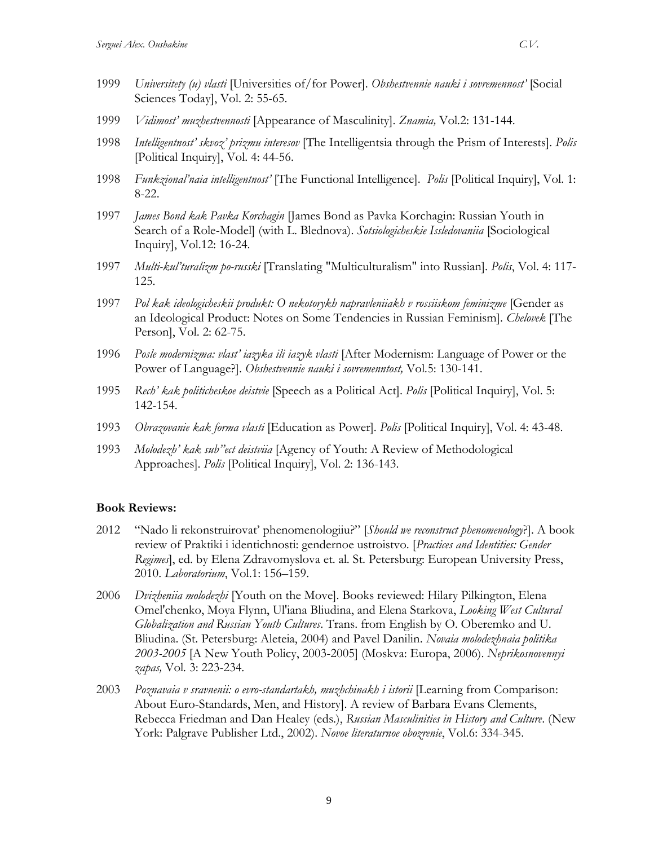- 1999 *Universitety (u) vlasti* [Universities of/for Power]. *Obshestvennie nauki i sovremennost'* [Social Sciences Today], Vol. 2: 55-65.
- 1999 *Vidimost' muzhestvennosti* [Appearance of Masculinity]. *Znamia,* Vol*.*2: 131-144.
- 1998 *Intelligentnost' skvoz' prizmu interesov* [The Intelligentsia through the Prism of Interests]. *Polis*  [Political Inquiry], Vol. 4: 44-56.
- 1998 *Funkzional'naia intelligentnost'* [The Functional Intelligence]. *Polis* [Political Inquiry], Vol. 1: 8-22.
- 1997 *James Bond kak Pavka Korchagin* [James Bond as Pavka Korchagin: Russian Youth in Search of a Role-Model] (with L. Blednova). *Sotsiologicheskie Issledovaniia* [Sociological Inquiry], Vol.12: 16-24.
- 1997 *Multi-kul'turalizm po-russki* [Translating "Multiculturalism" into Russian]. *Polis*, Vol. 4: 117- 125.
- 1997 *Pol kak ideologicheskii produkt: O nekotorykh napravleniiakh v rossiiskom feminizme* [Gender as an Ideological Product: Notes on Some Tendencies in Russian Feminism]. *Chelovek* [The Person], Vol. 2: 62-75.
- 1996 *Posle modernizma: vlast' iazyka ili iazyk vlasti* [After Modernism: Language of Power or the Power of Language?]. *Obshestvennie nauki i sovremenntost,* Vol*.*5: 130-141.
- 1995 *Rech' kak politicheskoe deistvie* [Speech as a Political Act]. *Polis* [Political Inquiry], Vol. 5: 142-154.
- 1993 *Obrazovanie kak forma vlasti* [Education as Power]. *Polis* [Political Inquiry], Vol. 4: 43-48.
- 1993 *Molodezh' kak sub''ect deistviia* [Agency of Youth: A Review of Methodological Approaches]. *Polis* [Political Inquiry], Vol. 2: 136-143.

### **Book Reviews:**

- 2012 "Nado li rekonstruirovat' phenomenologiiu?" [*Should we reconstruct phenomenology*?]. A book review of Praktiki i identichnosti: gendernoe ustroistvo. [*Practices and Identities: Gender Regimes*], ed. by Elena Zdravomyslova et. al. St. Petersburg: European University Press, 2010. *Laboratorium*, Vol.1: 156–159.
- 2006 *Dvizheniia molodezhi* [Youth on the Move]. Books reviewed: Hilary Pilkington, Elena Omel'chenko, Moya Flynn, Ul'iana Bliudina, and Elena Starkova, *Looking West Cultural Globalization and Russian Youth Cultures*. Trans. from English by O. Oberemko and U. Bliudina. (St. Petersburg: Aleteia, 2004) and Pavel Danilin. *Novaia molodezhnaia politika 2003-2005* [A New Youth Policy, 2003-2005] (Moskva: Europa, 2006). *Neprikosnovennyi zapas,* Vol*.* 3: 223-234.
- 2003 *Poznavaia v sravnenii: o evro-standartakh, muzhchinakh i istorii* [Learning from Comparison: About Euro-Standards, Men, and History]. A review of Barbara Evans Clements, Rebecca Friedman and Dan Healey (eds.), *Russian Masculinities in History and Culture*. (New York: Palgrave Publisher Ltd., 2002). *Novoe literaturnoe obozrenie*, Vol.6: 334-345.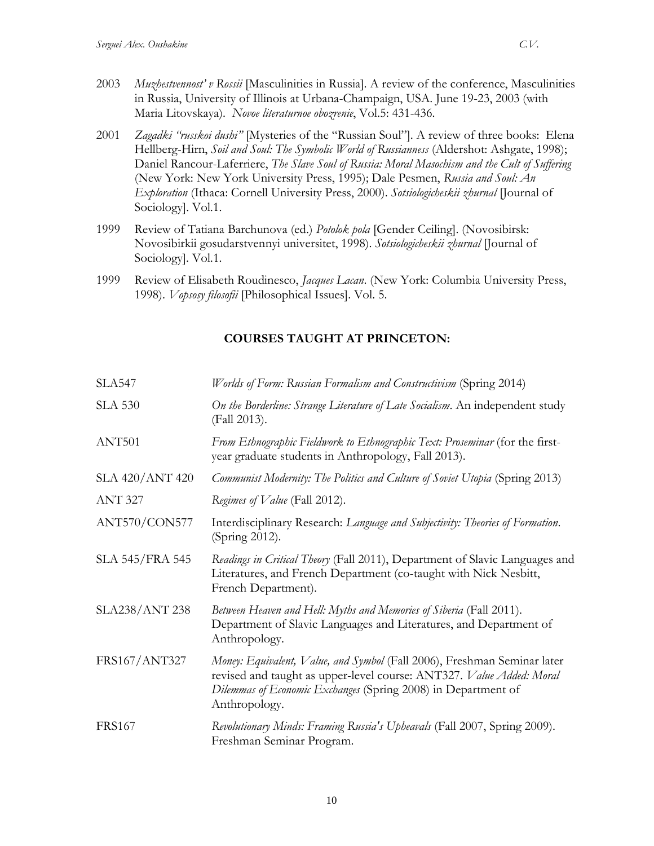- 2003 *Muzhestvennost' v Rossii* [Masculinities in Russia]. A review of the conference, Masculinities in Russia, University of Illinois at Urbana-Champaign, USA. June 19-23, 2003 (with Maria Litovskaya). *Novoe literaturnoe obozrenie*, Vol.5: 431-436.
- 2001 *Zagadki "russkoi dushi"* [Mysteries of the "Russian Soul"]. A review of three books: Elena Hellberg-Hirn, *Soil and Soul: The Symbolic World of Russianness* (Aldershot: Ashgate, 1998); Daniel Rancour-Laferriere, *The Slave Soul of Russia: Moral Masochism and the Cult of Suffering* (New York: New York University Press, 1995); Dale Pesmen, *Russia and Soul: An Exploration* (Ithaca: Cornell University Press, 2000). *Sotsiologicheskii zhurnal* [Journal of Sociology]. Vol.1.
- 1999 Review of Tatiana Barchunova (ed.) *Potolok pola* [Gender Ceiling]. (Novosibirsk: Novosibirkii gosudarstvennyi universitet, 1998). *Sotsiologicheskii zhurnal* [Journal of Sociology]. Vol.1.
- 1999 Review of Elisabeth Roudinesco, *Jacques Lacan*. (New York: Columbia University Press, 1998). *Vopsosy filosofii* [Philosophical Issues]. Vol. 5.

# **COURSES TAUGHT AT PRINCETON:**

| <b>SLA547</b>          | Worlds of Form: Russian Formalism and Constructivism (Spring 2014)                                                                                                                                                                 |
|------------------------|------------------------------------------------------------------------------------------------------------------------------------------------------------------------------------------------------------------------------------|
| <b>SLA 530</b>         | On the Borderline: Strange Literature of Late Socialism. An independent study<br>(Fall 2013).                                                                                                                                      |
| ANT501                 | From Ethnographic Fieldwork to Ethnographic Text: Proseminar (for the first-<br>year graduate students in Anthropology, Fall 2013).                                                                                                |
| SLA 420/ANT 420        | Communist Modernity: The Politics and Culture of Soviet Utopia (Spring 2013)                                                                                                                                                       |
| <b>ANT 327</b>         | Regimes of Value (Fall 2012).                                                                                                                                                                                                      |
| ANT570/CON577          | Interdisciplinary Research: Language and Subjectivity: Theories of Formation.<br>(Spring 2012).                                                                                                                                    |
| <b>SLA 545/FRA 545</b> | Readings in Critical Theory (Fall 2011), Department of Slavic Languages and<br>Literatures, and French Department (co-taught with Nick Nesbitt,<br>French Department).                                                             |
| SLA238/ANT 238         | Between Heaven and Hell: Myths and Memories of Siberia (Fall 2011).<br>Department of Slavic Languages and Literatures, and Department of<br>Anthropology.                                                                          |
| FRS167/ANT327          | Money: Equivalent, Value, and Symbol (Fall 2006), Freshman Seminar later<br>revised and taught as upper-level course: ANT327. Value Added: Moral<br>Dilemmas of Economic Exchanges (Spring 2008) in Department of<br>Anthropology. |
| <b>FRS167</b>          | Revolutionary Minds: Framing Russia's Upheavals (Fall 2007, Spring 2009).<br>Freshman Seminar Program.                                                                                                                             |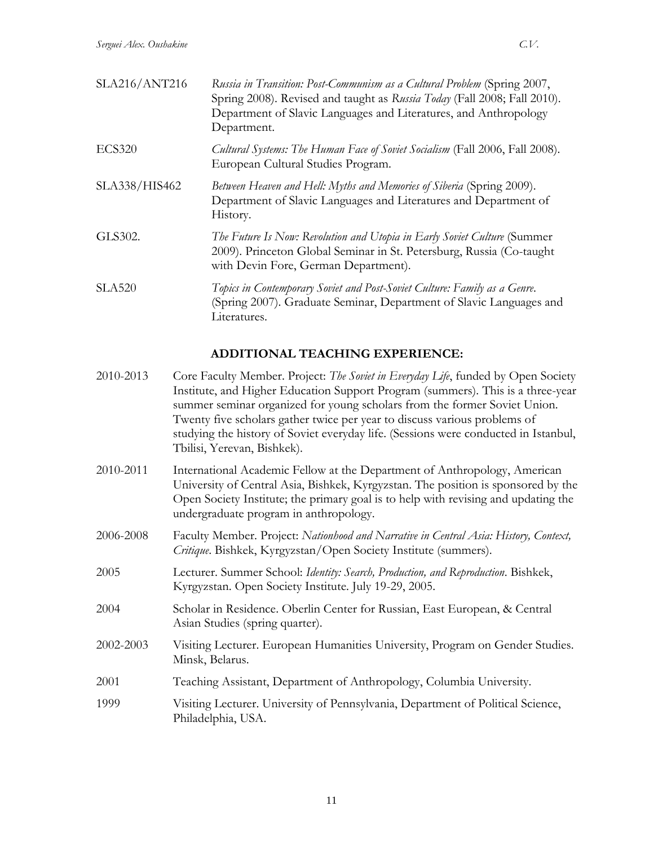| SLA216/ANT216 | Russia in Transition: Post-Communism as a Cultural Problem (Spring 2007,<br>Spring 2008). Revised and taught as Russia Today (Fall 2008; Fall 2010).<br>Department of Slavic Languages and Literatures, and Anthropology<br>Department. |
|---------------|-----------------------------------------------------------------------------------------------------------------------------------------------------------------------------------------------------------------------------------------|
| <b>ECS320</b> | Cultural Systems: The Human Face of Soviet Socialism (Fall 2006, Fall 2008).<br>European Cultural Studies Program.                                                                                                                      |
| SLA338/HIS462 | Between Heaven and Hell: Myths and Memories of Siberia (Spring 2009).<br>Department of Slavic Languages and Literatures and Department of<br>History.                                                                                   |
| GLS302.       | The Future Is Now: Revolution and Utopia in Early Soviet Culture (Summer<br>2009). Princeton Global Seminar in St. Petersburg, Russia (Co-taught<br>with Devin Fore, German Department).                                                |
| <b>SLA520</b> | Topics in Contemporary Soviet and Post-Soviet Culture: Family as a Genre.<br>(Spring 2007). Graduate Seminar, Department of Slavic Languages and<br>Literatures.                                                                        |

# **ADDITIONAL TEACHING EXPERIENCE:**

| 2010-2013 | Core Faculty Member. Project: The Soviet in Everyday Life, funded by Open Society<br>Institute, and Higher Education Support Program (summers). This is a three-year<br>summer seminar organized for young scholars from the former Soviet Union.<br>Twenty five scholars gather twice per year to discuss various problems of<br>studying the history of Soviet everyday life. (Sessions were conducted in Istanbul,<br>Tbilisi, Yerevan, Bishkek). |
|-----------|------------------------------------------------------------------------------------------------------------------------------------------------------------------------------------------------------------------------------------------------------------------------------------------------------------------------------------------------------------------------------------------------------------------------------------------------------|
| 2010-2011 | International Academic Fellow at the Department of Anthropology, American<br>University of Central Asia, Bishkek, Kyrgyzstan. The position is sponsored by the<br>Open Society Institute; the primary goal is to help with revising and updating the<br>undergraduate program in anthropology.                                                                                                                                                       |
| 2006-2008 | Faculty Member. Project: Nationhood and Narrative in Central Asia: History, Context,<br>Critique. Bishkek, Kyrgyzstan/Open Society Institute (summers).                                                                                                                                                                                                                                                                                              |
| 2005      | Lecturer. Summer School: Identity: Search, Production, and Reproduction. Bishkek,<br>Kyrgyzstan. Open Society Institute. July 19-29, 2005.                                                                                                                                                                                                                                                                                                           |
| 2004      | Scholar in Residence. Oberlin Center for Russian, East European, & Central<br>Asian Studies (spring quarter).                                                                                                                                                                                                                                                                                                                                        |
| 2002-2003 | Visiting Lecturer. European Humanities University, Program on Gender Studies.<br>Minsk, Belarus.                                                                                                                                                                                                                                                                                                                                                     |
| 2001      | Teaching Assistant, Department of Anthropology, Columbia University.                                                                                                                                                                                                                                                                                                                                                                                 |
| 1999      | Visiting Lecturer. University of Pennsylvania, Department of Political Science,<br>Philadelphia, USA.                                                                                                                                                                                                                                                                                                                                                |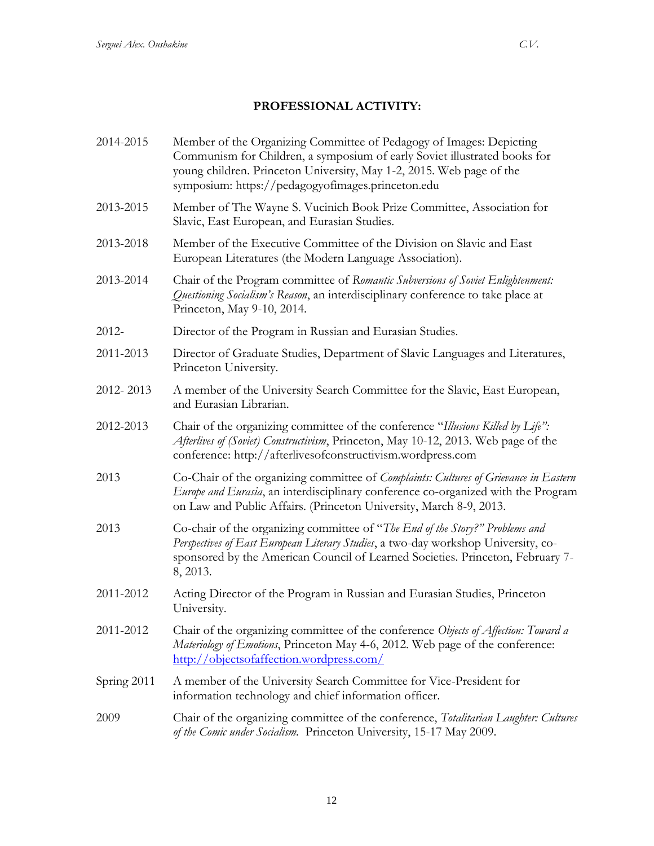# **PROFESSIONAL ACTIVITY:**

| 2014-2015   | Member of the Organizing Committee of Pedagogy of Images: Depicting<br>Communism for Children, a symposium of early Soviet illustrated books for<br>young children. Princeton University, May 1-2, 2015. Web page of the<br>symposium: https://pedagogyofimages.princeton.edu |
|-------------|-------------------------------------------------------------------------------------------------------------------------------------------------------------------------------------------------------------------------------------------------------------------------------|
| 2013-2015   | Member of The Wayne S. Vucinich Book Prize Committee, Association for<br>Slavic, East European, and Eurasian Studies.                                                                                                                                                         |
| 2013-2018   | Member of the Executive Committee of the Division on Slavic and East<br>European Literatures (the Modern Language Association).                                                                                                                                               |
| 2013-2014   | Chair of the Program committee of Romantic Subversions of Soviet Enlightenment:<br>Questioning Socialism's Reason, an interdisciplinary conference to take place at<br>Princeton, May 9-10, 2014.                                                                             |
| 2012-       | Director of the Program in Russian and Eurasian Studies.                                                                                                                                                                                                                      |
| 2011-2013   | Director of Graduate Studies, Department of Slavic Languages and Literatures,<br>Princeton University.                                                                                                                                                                        |
| 2012-2013   | A member of the University Search Committee for the Slavic, East European,<br>and Eurasian Librarian.                                                                                                                                                                         |
| 2012-2013   | Chair of the organizing committee of the conference "Illusions Killed by Life":<br>Afterlives of (Soviet) Constructivism, Princeton, May 10-12, 2013. Web page of the<br>conference: http://afterlivesofconstructivism.wordpress.com                                          |
| 2013        | Co-Chair of the organizing committee of Complaints: Cultures of Grievance in Eastern<br>Europe and Eurasia, an interdisciplinary conference co-organized with the Program<br>on Law and Public Affairs. (Princeton University, March 8-9, 2013.                               |
| 2013        | Co-chair of the organizing committee of "The End of the Story?" Problems and<br>Perspectives of East European Literary Studies, a two-day workshop University, co-<br>sponsored by the American Council of Learned Societies. Princeton, February 7-<br>8, 2013.              |
| 2011-2012   | Acting Director of the Program in Russian and Eurasian Studies, Princeton<br>University.                                                                                                                                                                                      |
| 2011-2012   | Chair of the organizing committee of the conference Objects of Affection: Toward a<br>Materiology of Emotions, Princeton May 4-6, 2012. Web page of the conference:<br>http://objectsofaffection.wordpress.com/                                                               |
| Spring 2011 | A member of the University Search Committee for Vice-President for<br>information technology and chief information officer.                                                                                                                                                   |
| 2009        | Chair of the organizing committee of the conference, Totalitarian Laughter: Cultures<br>of the Comic under Socialism. Princeton University, 15-17 May 2009.                                                                                                                   |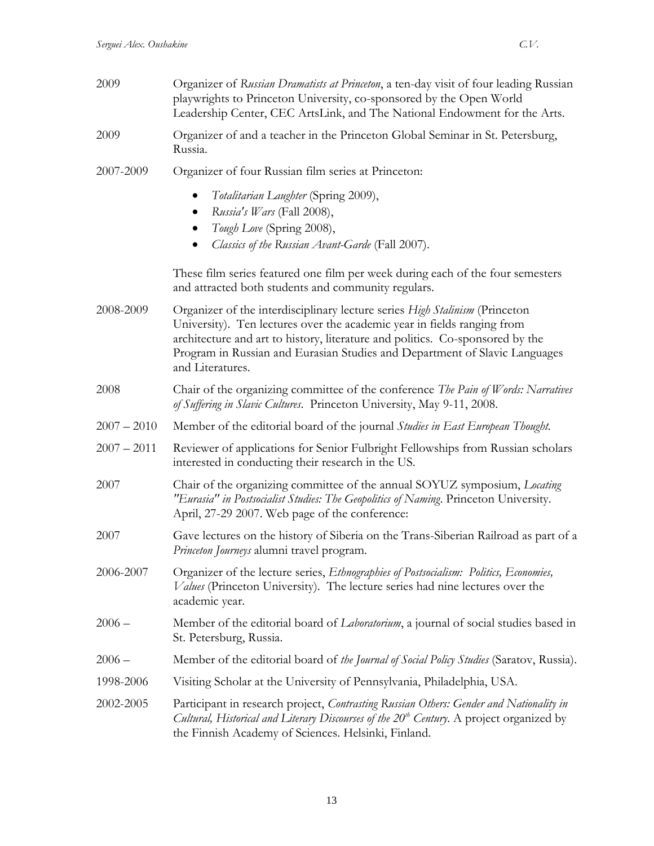| 2009          | Organizer of Russian Dramatists at Princeton, a ten-day visit of four leading Russian<br>playwrights to Princeton University, co-sponsored by the Open World<br>Leadership Center, CEC ArtsLink, and The National Endowment for the Arts.                                                                                                 |
|---------------|-------------------------------------------------------------------------------------------------------------------------------------------------------------------------------------------------------------------------------------------------------------------------------------------------------------------------------------------|
| 2009          | Organizer of and a teacher in the Princeton Global Seminar in St. Petersburg,<br>Russia.                                                                                                                                                                                                                                                  |
| 2007-2009     | Organizer of four Russian film series at Princeton:                                                                                                                                                                                                                                                                                       |
|               | Totalitarian Laughter (Spring 2009),<br>Russia's Wars (Fall 2008),<br>Tough Love (Spring 2008),<br>Classics of the Russian Avant-Garde (Fall 2007).                                                                                                                                                                                       |
|               | These film series featured one film per week during each of the four semesters<br>and attracted both students and community regulars.                                                                                                                                                                                                     |
| 2008-2009     | Organizer of the interdisciplinary lecture series High Stalinism (Princeton<br>University). Ten lectures over the academic year in fields ranging from<br>architecture and art to history, literature and politics. Co-sponsored by the<br>Program in Russian and Eurasian Studies and Department of Slavic Languages<br>and Literatures. |
| 2008          | Chair of the organizing committee of the conference The Pain of Words: Narratives<br>of Suffering in Slavic Cultures. Princeton University, May 9-11, 2008.                                                                                                                                                                               |
| $2007 - 2010$ | Member of the editorial board of the journal Studies in East European Thought.                                                                                                                                                                                                                                                            |
| $2007 - 2011$ | Reviewer of applications for Senior Fulbright Fellowships from Russian scholars<br>interested in conducting their research in the US.                                                                                                                                                                                                     |
| 2007          | Chair of the organizing committee of the annual SOYUZ symposium, Locating<br>"Eurasia" in Postsocialist Studies: The Geopolitics of Naming. Princeton University.<br>April, 27-29 2007. Web page of the conference:                                                                                                                       |
| 2007          | Gave lectures on the history of Siberia on the Trans-Siberian Railroad as part of a<br>Princeton Journeys alumni travel program.                                                                                                                                                                                                          |
| 2006-2007     | Organizer of the lecture series, Ethnographies of Postsocialism: Politics, Economies,<br>Values (Princeton University). The lecture series had nine lectures over the<br>academic year.                                                                                                                                                   |
| $2006 -$      | Member of the editorial board of <i>Laboratorium</i> , a journal of social studies based in<br>St. Petersburg, Russia.                                                                                                                                                                                                                    |
| $2006 -$      | Member of the editorial board of the Journal of Social Policy Studies (Saratov, Russia).                                                                                                                                                                                                                                                  |
| 1998-2006     | Visiting Scholar at the University of Pennsylvania, Philadelphia, USA.                                                                                                                                                                                                                                                                    |
| 2002-2005     | Participant in research project, Contrasting Russian Others: Gender and Nationality in<br>Cultural, Historical and Literary Discourses of the $20th$ Century. A project organized by<br>the Finnish Academy of Sciences. Helsinki, Finland.                                                                                               |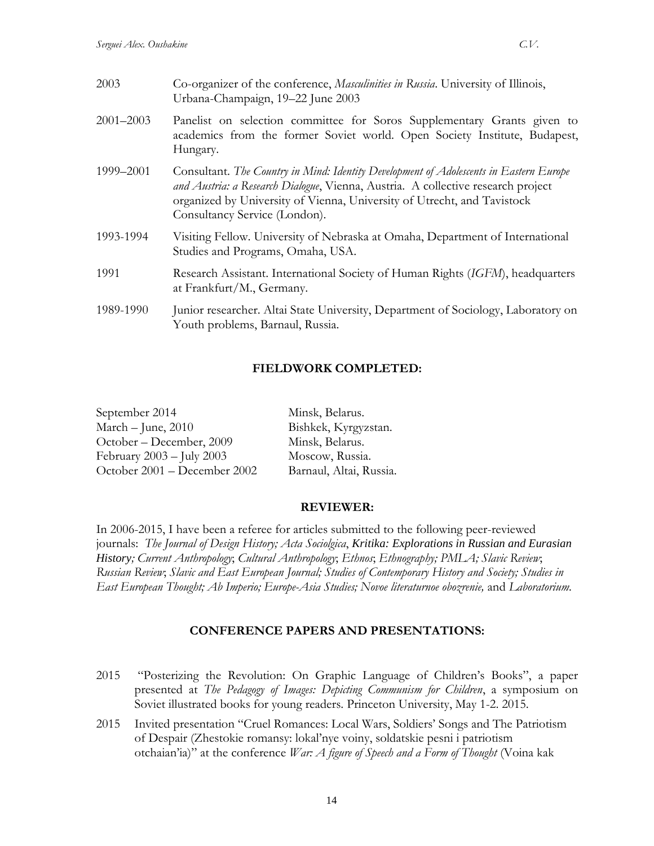| 2003          | Co-organizer of the conference, Masculinities in Russia. University of Illinois,<br>Urbana-Champaign, 19-22 June 2003                                                                                                                                                                  |
|---------------|----------------------------------------------------------------------------------------------------------------------------------------------------------------------------------------------------------------------------------------------------------------------------------------|
| $2001 - 2003$ | Panelist on selection committee for Soros Supplementary Grants given to<br>academics from the former Soviet world. Open Society Institute, Budapest,<br>Hungary.                                                                                                                       |
| 1999–2001     | Consultant. The Country in Mind: Identity Development of Adolescents in Eastern Europe<br>and Austria: a Research Dialogue, Vienna, Austria. A collective research project<br>organized by University of Vienna, University of Utrecht, and Tavistock<br>Consultancy Service (London). |
| 1993-1994     | Visiting Fellow. University of Nebraska at Omaha, Department of International<br>Studies and Programs, Omaha, USA.                                                                                                                                                                     |
| 1991          | Research Assistant. International Society of Human Rights (IGFM), headquarters<br>at Frankfurt/M., Germany.                                                                                                                                                                            |
| 1989-1990     | Junior researcher. Altai State University, Department of Sociology, Laboratory on<br>Youth problems, Barnaul, Russia.                                                                                                                                                                  |

### **FIELDWORK COMPLETED:**

| September 2014                | Minsk, Belarus.         |
|-------------------------------|-------------------------|
| March - June, 2010            | Bishkek, Kyrgyzstan.    |
| October – December, 2009      | Minsk, Belarus.         |
| February $2003 -$ July $2003$ | Moscow, Russia.         |
| October 2001 - December 2002  | Barnaul, Altai, Russia. |

#### **REVIEWER:**

In 2006-2015, I have been a referee for articles submitted to the following peer-reviewed journals: *The Journal of Design History; Acta Sociolgica*, *Kritika: Explorations in Russian and Eurasian History; Current Anthropology*; *Cultural Anthropology*; *Ethnos*; *Ethnography; PMLA; Slavic Review*; *Russian Review*; *Slavic and East European Journal; Studies of Contemporary History and Society; Studies in East European Thought; Ab Imperio; Europe-Asia Studies; Novoe literaturnoe obozrenie,* and *Laboratorium.*

### **CONFERENCE PAPERS AND PRESENTATIONS:**

- 2015 "Posterizing the Revolution: On Graphic Language of Children's Books", a paper presented at *The Pedagogy of Images: Depicting Communism for Children*, a symposium on Soviet illustrated books for young readers. Princeton University, May 1-2. 2015.
- 2015 Invited presentation "Cruel Romances: Local Wars, Soldiers' Songs and The Patriotism of Despair (Zhestokie romansy: lokal'nye voiny, soldatskie pesni i patriotism otchaian'ia)" at the conference *War: A figure of Speech and a Form of Thought* (Voina kak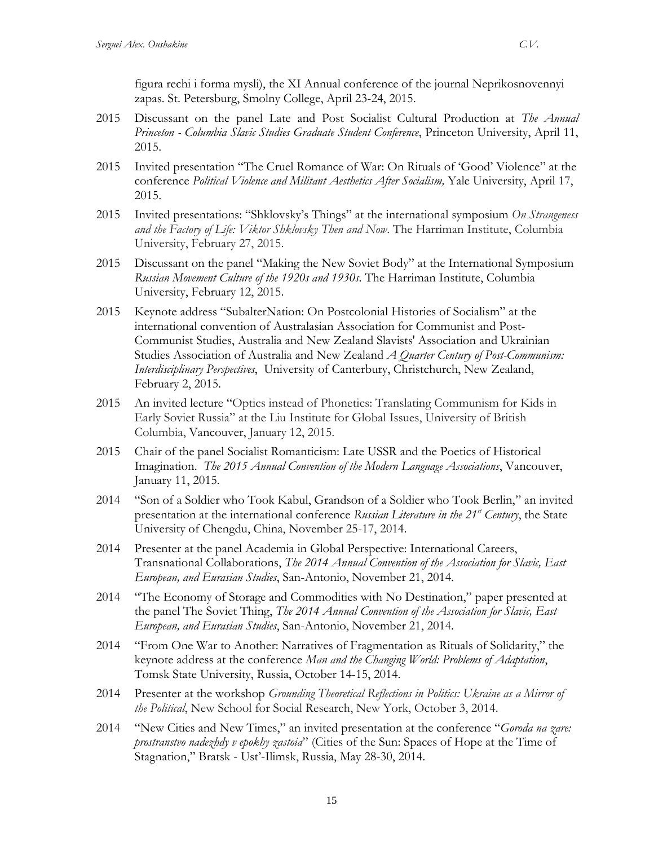figura rechi i forma mysli), the XI Annual conference of the journal Neprikosnovennyi zapas. St. Petersburg, Smolny College, April 23-24, 2015.

- 2015 Discussant on the panel Late and Post Socialist Cultural Production at *The Annual Princeton - Columbia Slavic Studies Graduate Student Conference*, Princeton University, April 11, 2015.
- 2015 Invited presentation "The Cruel Romance of War: On Rituals of 'Good' Violence" at the conference *Political Violence and Militant Aesthetics After Socialism,* Yale University, April 17, 2015.
- 2015 Invited presentations: "Shklovsky's Things" at the international symposium *On Strangeness and the Factory of Life: Viktor Shklovsky Then and Now*. The Harriman Institute, Columbia University, February 27, 2015.
- 2015 Discussant on the panel "Making the New Soviet Body" at the International Symposium *Russian Movement Culture of the 1920s and 1930s*. The Harriman Institute, Columbia University, February 12, 2015.
- 2015 Keynote address "SubalterNation: On Postcolonial Histories of Socialism" at the international convention of Australasian Association for Communist and Post-Communist Studies, Australia and New Zealand Slavists' Association and Ukrainian Studies Association of Australia and New Zealand *A Quarter Century of Post-Communism: Interdisciplinary Perspectives*, University of Canterbury, Christchurch, New Zealand, February 2, 2015.
- 2015 An invited lecture "Optics instead of Phonetics: Translating Communism for Kids in Early Soviet Russia" at the Liu Institute for Global Issues, University of British Columbia, Vancouver, January 12, 2015.
- 2015 Chair of the panel Socialist Romanticism: Late USSR and the Poetics of Historical Imagination. *The 2015 Annual Convention of the Modern Language Associations*, Vancouver, January 11, 2015.
- 2014 "Son of a Soldier who Took Kabul, Grandson of a Soldier who Took Berlin," an invited presentation at the international conference *Russian Literature in the 21<sup><i>s*</sup> Century, the State University of Chengdu, China, November 25-17, 2014.
- 2014 Presenter at the panel Academia in Global Perspective: International Careers, Transnational Collaborations, *The 2014 Annual Convention of the Association for Slavic, East European, and Eurasian Studies*, San-Antonio, November 21, 2014.
- 2014 "The Economy of Storage and Commodities with No Destination," paper presented at the panel The Soviet Thing, *The 2014 Annual Convention of the Association for Slavic, East European, and Eurasian Studies*, San-Antonio, November 21, 2014.
- 2014 "From One War to Another: Narratives of Fragmentation as Rituals of Solidarity," the keynote address at the conference *Man and the Changing World: Problems of Adaptation*, Tomsk State University, Russia, October 14-15, 2014.
- 2014 Presenter at the workshop *Grounding Theoretical Reflections in Politics: Ukraine as a Mirror of the Political*, New School for Social Research, New York, October 3, 2014.
- 2014 "New Cities and New Times," an invited presentation at the conference "*Goroda na zare: prostranstvo nadezhdy v epokhy zastoia*" (Cities of the Sun: Spaces of Hope at the Time of Stagnation," Bratsk - Ust'-Ilimsk, Russia, May 28-30, 2014.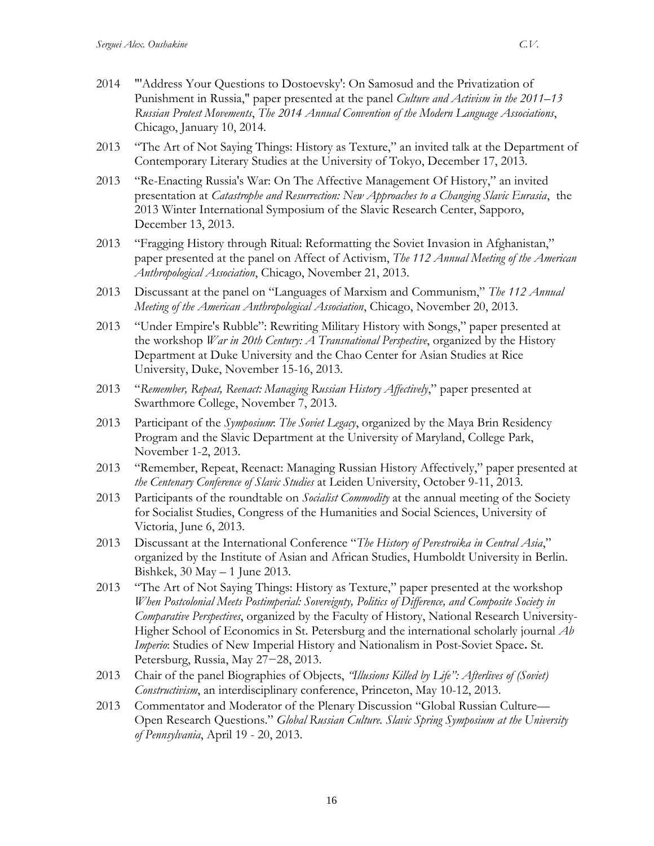- 2014 "'Address Your Questions to Dostoevsky': On Samosud and the Privatization of Punishment in Russia," paper presented at the panel *Culture and Activism in the 2011–13 Russian Protest Movements*, *The 2014 Annual Convention of the Modern Language Associations*, Chicago, January 10, 2014.
- 2013 "The Art of Not Saying Things: History as Texture," an invited talk at the Department of Contemporary Literary Studies at the University of Tokyo, December 17, 2013.
- 2013 "Re-Enacting Russia's War: On The Affective Management Of History," an invited presentation at *Catastrophe and Resurrection: New Approaches to a Changing Slavic Eurasia*, the 2013 Winter International Symposium of the Slavic Research Center, Sapporo, December 13, 2013.
- 2013 "Fragging History through Ritual: Reformatting the Soviet Invasion in Afghanistan," paper presented at the panel on Affect of Activism, *The 112 Annual Meeting of the American Anthropological Association*, Chicago, November 21, 2013.
- 2013 Discussant at the panel on "Languages of Marxism and Communism," *The 112 Annual Meeting of the American Anthropological Association*, Chicago, November 20, 2013.
- 2013 "Under Empire's Rubble": Rewriting Military History with Songs," paper presented at the workshop *War in 20th Century: A Transnational Perspective*, organized by the History Department at Duke University and the Chao Center for Asian Studies at Rice University, Duke, November 15-16, 2013.
- 2013 "*Remember, Repeat, Reenact: Managing Russian History Affectively*," paper presented at Swarthmore College, November 7, 2013.
- 2013 Participant of the *Symposium*: *The Soviet Legacy*, organized by the Maya Brin Residency Program and the Slavic Department at the University of Maryland, College Park, November 1-2, 2013.
- 2013 "Remember, Repeat, Reenact: Managing Russian History Affectively," paper presented at *the Centenary Conference of Slavic Studies* at Leiden University, October 9-11, 2013.
- 2013 Participants of the roundtable on *Socialist Commodity* at the annual meeting of the Society for Socialist Studies, Congress of the Humanities and Social Sciences, University of Victoria, June 6, 2013.
- 2013 Discussant at the International Conference "*The History of Perestroika in Central Asia*," organized by the Institute of Asian and African Studies, Humboldt University in Berlin. Bishkek, 30 May – 1 June 2013.
- 2013 "The Art of Not Saying Things: History as Texture," paper presented at the workshop *When Postcolonial Meets Postimperial: Sovereignty, Politics of Difference, and Composite Society in Comparative Perspectives*, organized by the Faculty of History, National Research University-Higher School of Economics in St. Petersburg and the international scholarly journal *Ab Imperio*: Studies of New Imperial History and Nationalism in Post-Soviet Space**.** St. Petersburg, Russia, May 27−28, 2013.
- 2013 Chair of the panel Biographies of Objects, *"Illusions Killed by Life": Afterlives of (Soviet) Constructivism*, an interdisciplinary conference, Princeton, May 10-12, 2013.
- 2013 Commentator and Moderator of the Plenary Discussion "Global Russian Culture— Open Research Questions." *Global Russian Culture. Slavic Spring Symposium at the University of Pennsylvania*, April 19 - 20, 2013.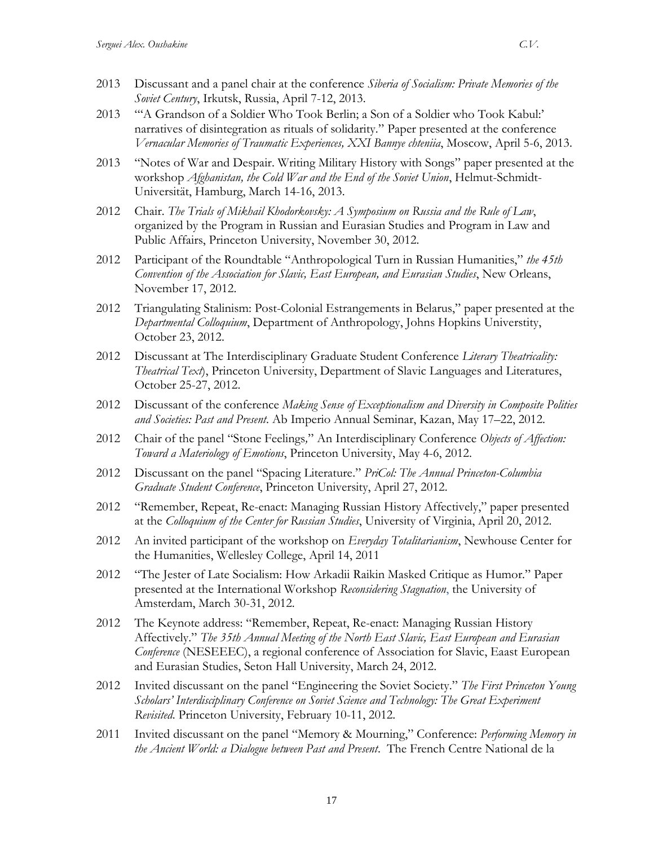- 2013 Discussant and a panel chair at the conference *Siberia of Socialism: Private Memories of the Soviet Century*, Irkutsk, Russia, April 7-12, 2013.
- 2013 "'A Grandson of a Soldier Who Took Berlin; a Son of a Soldier who Took Kabul:' narratives of disintegration as rituals of solidarity." Paper presented at the conference *Vernacular Memories of Traumatic Experiences, XXI Bannye chteniia*, Moscow, April 5-6, 2013.
- 2013 "Notes of War and Despair. Writing Military History with Songs" paper presented at the workshop *Afghanistan, the Cold War and the End of the Soviet Union*, Helmut-Schmidt-Universität, Hamburg, March 14-16, 2013.
- 2012 Chair. *The Trials of Mikhail Khodorkovsky: A Symposium on Russia and the Rule of Law*, organized by the Program in Russian and Eurasian Studies and Program in Law and Public Affairs, Princeton University, November 30, 2012.
- 2012 Participant of the Roundtable "Anthropological Turn in Russian Humanities," *the 45th Convention of the Association for Slavic, East European, and Eurasian Studies*, New Orleans, November 17, 2012.
- 2012 Triangulating Stalinism: Post-Colonial Estrangements in Belarus," paper presented at the *Departmental Colloquium*, Department of Anthropology, Johns Hopkins Universtity, October 23, 2012.
- 2012 Discussant at The Interdisciplinary Graduate Student Conference *Literary Theatricality: Theatrical Text*), Princeton University, Department of Slavic Languages and Literatures, October 25-27, 2012.
- 2012 Discussant of the conference *Making Sense of Exceptionalism and Diversity in Composite Polities and Societies: Past and Present*. Ab Imperio Annual Seminar, Kazan, May 17–22, 2012.
- 2012 Chair of the panel "Stone Feelings*,*" An Interdisciplinary Conference *Objects of Affection: Toward a Materiology of Emotions*, Princeton University, May 4-6, 2012.
- 2012 Discussant on the panel "Spacing Literature." *PriCol: The Annual Princeton-Columbia Graduate Student Conference*, Princeton University, April 27, 2012.
- 2012 "Remember, Repeat, Re-enact: Managing Russian History Affectively," paper presented at the *Colloquium of the Center for Russian Studies*, University of Virginia, April 20, 2012.
- 2012 An invited participant of the workshop on *Everyday Totalitarianism*, Newhouse Center for the Humanities, Wellesley College, April 14, 2011
- 2012 "The Jester of Late Socialism: How Arkadii Raikin Masked Critique as Humor." Paper presented at the International Workshop *Reconsidering Stagnation*, the University of Amsterdam, March 30-31, 2012.
- 2012 The Keynote address: "Remember, Repeat, Re-enact: Managing Russian History Affectively." *The 35th Annual Meeting of the North East Slavic, East European and Eurasian Conference* (NESEEEC), a regional conference of Association for Slavic, Eaast European and Eurasian Studies, Seton Hall University, March 24, 2012.
- 2012 Invited discussant on the panel "Engineering the Soviet Society." *The First Princeton Young Scholars' Interdisciplinary Conference on Soviet Science and Technology: The Great Experiment Revisited*. Princeton University, February 10-11, 2012.
- 2011 Invited discussant on the panel "Memory & Mourning," Conference: *Performing Memory in the Ancient World: a Dialogue between Past and Present*. The French Centre National de la

17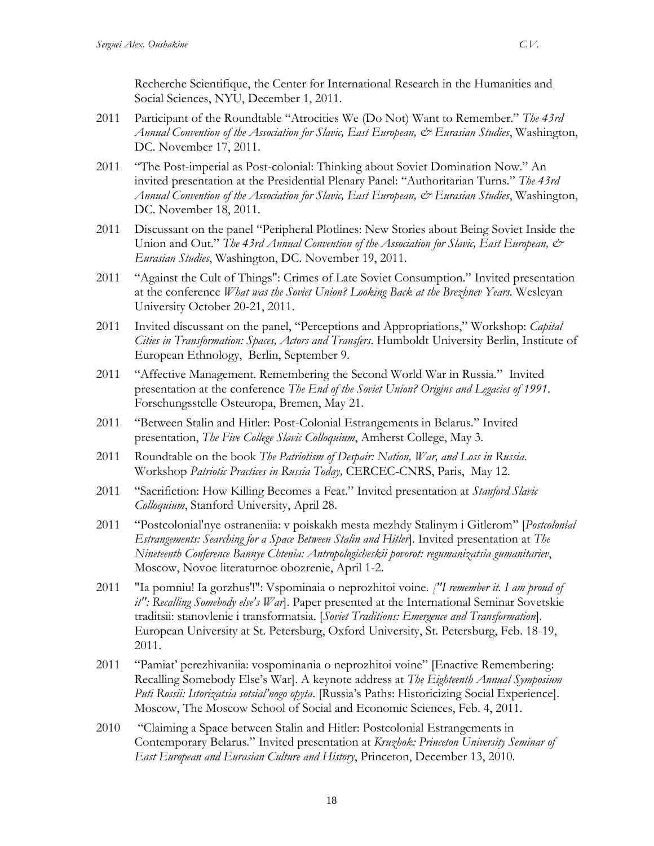Recherche Scientifique, the Center for International Research in the Humanities and Social Sciences, NYU, December 1, 2011.

- 2011 Participant of the Roundtable "Atrocities We (Do Not) Want to Remember." *The 43rd Annual Convention of the Association for Slavic, East European, & Eurasian Studies*, Washington, DC. November 17, 2011.
- 2011 "The Post-imperial as Post-colonial: Thinking about Soviet Domination Now." An invited presentation at the Presidential Plenary Panel: "Authoritarian Turns." *The 43rd Annual Convention of the Association for Slavic, East European, & Eurasian Studies*, Washington, DC. November 18, 2011.
- 2011 Discussant on the panel "Peripheral Plotlines: New Stories about Being Soviet Inside the Union and Out." *The 43rd Annual Convention of the Association for Slavic*, *East European*,  $\mathcal{O}^*$ *Eurasian Studies*, Washington, DC. November 19, 2011.
- 2011 "Against the Cult of Things": Crimes of Late Soviet Consumption." Invited presentation at the conference *What was the Soviet Union? Looking Back at the Brezhnev Years.* Wesleyan University October 20-21, 2011.
- 2011 Invited discussant on the panel, "Perceptions and Appropriations," Workshop: *Capital Cities in Transformation: Spaces, Actors and Transfers*. Humboldt University Berlin, Institute of European Ethnology, Berlin, September 9.
- 2011 "Affective Management. Remembering the Second World War in Russia." Invited presentation at the conference *The End of the Soviet Union? Origins and Legacies of 1991*. Forschungsstelle Osteuropa, Bremen, May 21.
- 2011 "Between Stalin and Hitler: Post-Colonial Estrangements in Belarus." Invited presentation, *The Five College Slavic Colloquium*, Amherst College, May 3.
- 2011 Roundtable on the book *The Patriotism of Despair: Nation, War, and Loss in Russia*. Workshop *Patriotic Practices in Russia Today,* CERCEC-CNRS, Paris, May 12.
- 2011 "Sacrifiction: How Killing Becomes a Feat." Invited presentation at *Stanford Slavic Colloquium*, Stanford University, April 28.
- 2011 "Postcolonial'nye ostraneniia: v poiskakh mesta mezhdy Stalinym i Gitlerom" [*Postcolonial Estrangements: Searching for a Space Between Stalin and Hitler*]. Invited presentation at *The Nineteenth Conference Bannye Chtenia: Antropologicheskii povorot: regumanizatsia gumanitariev*, Moscow, Novoe literaturnoe obozrenie, April 1-2.
- 2011 "Ia pomniu! Ia gorzhus'!": Vspominaia o neprozhitoi voine. *["I remember it. I am proud of it": Recalling Somebody else's War*]. Paper presented at the International Seminar Sovetskie traditsii: stanovlenie i transformatsia. [*Soviet Traditions: Emergence and Transformation*]. European University at St. Petersburg, Oxford University, St. Petersburg, Feb. 18-19, 2011.
- 2011 "Pamiat' perezhivaniia: vospominania o neprozhitoi voine" [Enactive Remembering: Recalling Somebody Else's War]. A keynote address at *The Eighteenth Annual Symposium Puti Rossii: Istorizatsia sotsial'nogo opyta*. [Russia's Paths: Historicizing Social Experience]. Moscow, The Moscow School of Social and Economic Sciences, Feb. 4, 2011.
- 2010 "Claiming a Space between Stalin and Hitler: Postcolonial Estrangements in Contemporary Belarus." Invited presentation at *Kruzhok: Princeton University Seminar of East European and Eurasian Culture and History*, Princeton, December 13, 2010.

18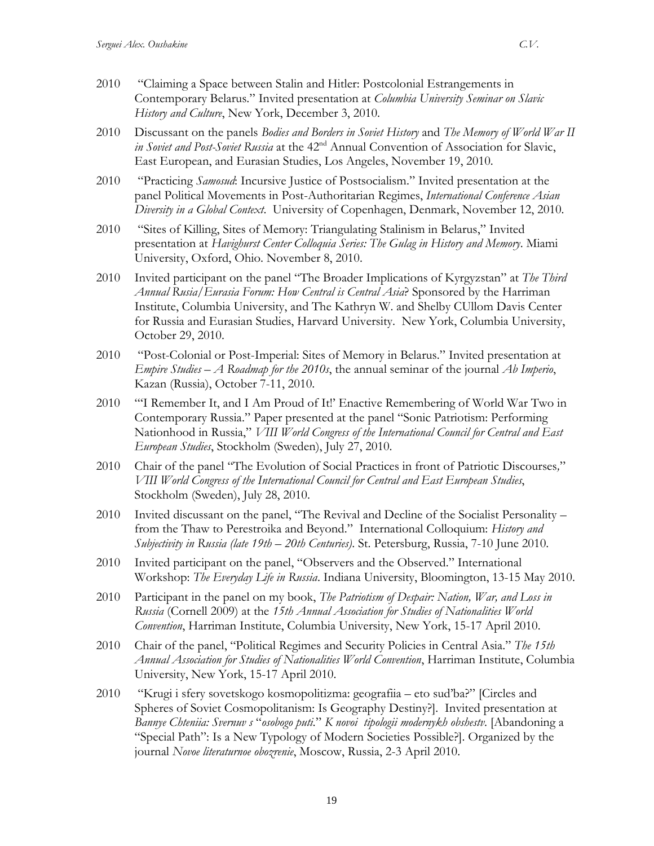- 2010 "Claiming a Space between Stalin and Hitler: Postcolonial Estrangements in Contemporary Belarus." Invited presentation at *Columbia University Seminar on Slavic History and Culture*, New York, December 3, 2010.
- 2010 Discussant on the panels *Bodies and Borders in Soviet History* and *The Memory of World War II in Soviet and Post-Soviet Russia* at the 42nd Annual Convention of Association for Slavic, East European, and Eurasian Studies, Los Angeles, November 19, 2010.
- 2010 "Practicing *Samosud*: Incursive Justice of Postsocialism." Invited presentation at the panel Political Movements in Post-Authoritarian Regimes, *International Conference Asian Diversity in a Global Context*. University of Copenhagen, Denmark, November 12, 2010.
- 2010 "Sites of Killing, Sites of Memory: Triangulating Stalinism in Belarus," Invited presentation at *Havighurst Center Colloquia Series: The Gulag in History and Memory*. Miami University, Oxford, Ohio. November 8, 2010.
- 2010 Invited participant on the panel "The Broader Implications of Kyrgyzstan" at *The Third Annual Rusia/Eurasia Forum: How Central is Central Asia*? Sponsored by the Harriman Institute, Columbia University, and The Kathryn W. and Shelby CUllom Davis Center for Russia and Eurasian Studies, Harvard University. New York, Columbia University, October 29, 2010.
- 2010 "Post-Colonial or Post-Imperial: Sites of Memory in Belarus." Invited presentation at *Empire Studies – A Roadmap for the 2010s*, the annual seminar of the journal *Ab Imperio*, Kazan (Russia), October 7-11, 2010.
- 2010 "'I Remember It, and I Am Proud of It!' Enactive Remembering of World War Two in Contemporary Russia." Paper presented at the panel "Sonic Patriotism: Performing Nationhood in Russia," *VIII World Congress of the International Council for Central and East European Studies*, Stockholm (Sweden), July 27, 2010.
- 2010 Chair of the panel "The Evolution of Social Practices in front of Patriotic Discourses*,*" *VIII World Congress of the International Council for Central and East European Studies*, Stockholm (Sweden), July 28, 2010.
- 2010 Invited discussant on the panel, "The Revival and Decline of the Socialist Personality from the Thaw to Perestroika and Beyond." International Colloquium: *History and Subjectivity in Russia (late 19th – 20th Centuries)*. St. Petersburg, Russia, 7-10 June 2010.
- 2010 Invited participant on the panel, "Observers and the Observed." International Workshop: *The Everyday Life in Russia*. Indiana University, Bloomington, 13-15 May 2010.
- 2010 Participant in the panel on my book, *The Patriotism of Despair: Nation, War, and Loss in Russia* (Cornell 2009) at the *15th Annual Association for Studies of Nationalities World Convention*, Harriman Institute, Columbia University, New York, 15-17 April 2010.
- 2010 Chair of the panel, "Political Regimes and Security Policies in Central Asia." *The 15th Annual Association for Studies of Nationalities World Convention*, Harriman Institute, Columbia University, New York, 15-17 April 2010.
- 2010 "Krugi i sfery sovetskogo kosmopolitizma: geografiia eto sud'ba?" [Circles and Spheres of Soviet Cosmopolitanism: Is Geography Destiny?]. Invited presentation at *Bannye Chteniia: Svernuv s* "*osobogo puti.*" *K novoi tipologii modernykh obshestv*. [Abandoning a "Special Path": Is a New Typology of Modern Societies Possible?]. Organized by the journal *Novoe literaturnoe obozrenie*, Moscow, Russia, 2-3 April 2010.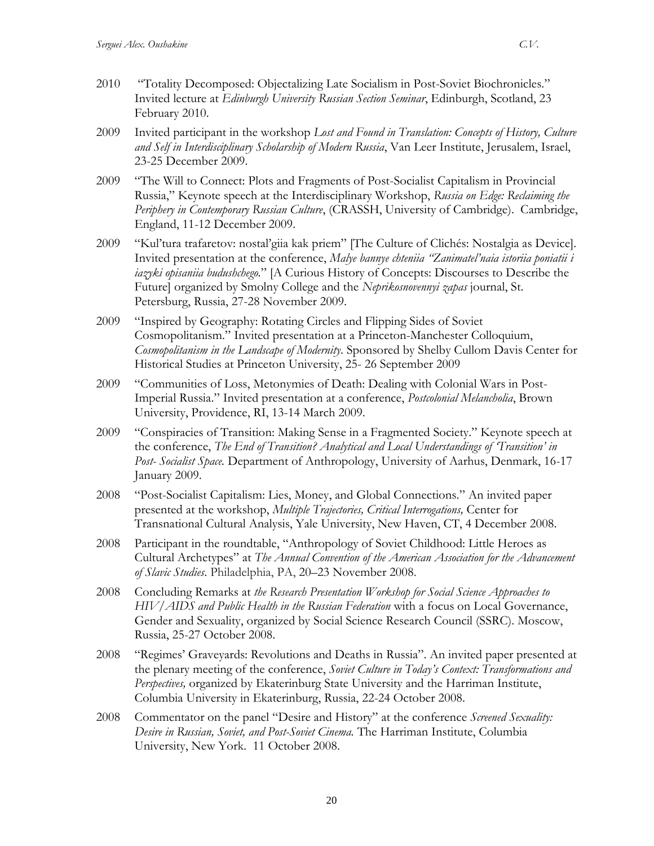- 2010 "Totality Decomposed: Objectalizing Late Socialism in Post-Soviet Biochronicles." Invited lecture at *Edinburgh University Russian Section Seminar*, Edinburgh, Scotland, 23 February 2010.
- 2009 Invited participant in the workshop *Lost and Found in Translation: Concepts of History, Culture and Self in Interdisciplinary Scholarship of Modern Russia*, Van Leer Institute, Jerusalem, Israel, 23-25 December 2009.
- 2009 "The Will to Connect: Plots and Fragments of Post-Socialist Capitalism in Provincial Russia," Keynote speech at the Interdisciplinary Workshop, *Russia on Edge: Reclaiming the Periphery in Contemporary Russian Culture*, (CRASSH, University of Cambridge). Cambridge, England, 11-12 December 2009.
- 2009 "Kul'tura trafaretov: nostal'giia kak priem" [The Culture of Clichés: Nostalgia as Device]. Invited presentation at the conference, *Malye bannye chteniia "Zanimatel'naia istoriia poniatii i iazyki opisaniia budushchego.*" [A Curious History of Concepts: Discourses to Describe the Future] organized by Smolny College and the *Neprikosnovennyi zapas* journal, St. Petersburg, Russia, 27-28 November 2009.
- 2009 "Inspired by Geography: Rotating Circles and Flipping Sides of Soviet Cosmopolitanism." Invited presentation at a Princeton-Manchester Colloquium, *Cosmopolitanism in the Landscape of Modernity*. Sponsored by Shelby Cullom Davis Center for Historical Studies at Princeton University, 25- 26 September 2009
- 2009 "Communities of Loss, Metonymies of Death: Dealing with Colonial Wars in Post-Imperial Russia." Invited presentation at a conference, *Postcolonial Melancholia*, Brown University, Providence, RI, 13-14 March 2009.
- 2009 "Conspiracies of Transition: Making Sense in a Fragmented Society." Keynote speech at the conference, *The End of Transition? Analytical and Local Understandings of 'Transition' in Post- Socialist Space.* Department of Anthropology, University of Aarhus, Denmark, 16-17 January 2009.
- 2008 "Post-Socialist Capitalism: Lies, Money, and Global Connections." An invited paper presented at the workshop, *Multiple Trajectories, Critical Interrogations,* Center for Transnational Cultural Analysis, Yale University, New Haven, CT, 4 December 2008.
- 2008 Participant in the roundtable, "Anthropology of Soviet Childhood: Little Heroes as Cultural Archetypes" at *The Annual Convention of the American Association for the Advancement of Slavic Studies*. Philadelphia, PA, 20–23 November 2008.
- 2008 Concluding Remarks at *the Research Presentation Workshop for Social Science Approaches to HIV/AIDS and Public Health in the Russian Federation* with a focus on Local Governance, Gender and Sexuality, organized by Social Science Research Council (SSRC). Moscow, Russia, 25-27 October 2008.
- 2008 "Regimes' Graveyards: Revolutions and Deaths in Russia". An invited paper presented at the plenary meeting of the conference, *Soviet Culture in Today's Context: Transformations and Perspectives,* organized by Ekaterinburg State University and the Harriman Institute, Columbia University in Ekaterinburg, Russia, 22-24 October 2008.
- 2008 Commentator on the panel "Desire and History" at the conference *Screened Sexuality: Desire in Russian, Soviet, and Post-Soviet Cinema.* The Harriman Institute, Columbia University, New York. 11 October 2008.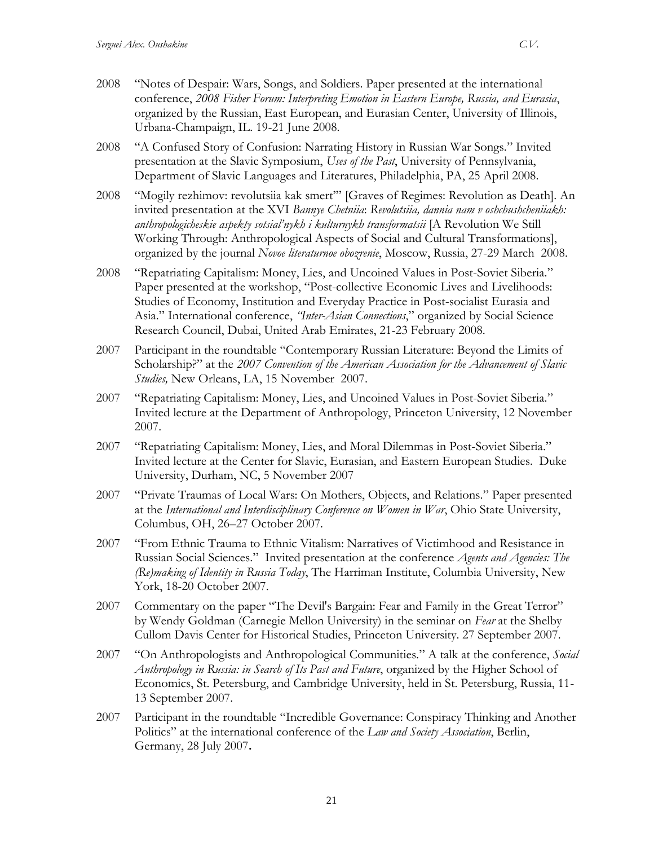- 2008 "Notes of Despair: Wars, Songs, and Soldiers. Paper presented at the international conference, *2008 Fisher Forum: Interpreting Emotion in Eastern Europe, Russia, and Eurasia*, organized by the Russian, East European, and Eurasian Center, University of Illinois, Urbana-Champaign, IL. 19-21 June 2008.
- 2008 "A Confused Story of Confusion: Narrating History in Russian War Songs." Invited presentation at the Slavic Symposium, *Uses of the Past*, University of Pennsylvania, Department of Slavic Languages and Literatures, Philadelphia, PA, 25 April 2008.
- 2008 "Mogily rezhimov: revolutsiia kak smert'" [Graves of Regimes: Revolution as Death]. An invited presentation at the XVI *Bannye Chetniia*: *Revolutsiia, dannia nam v oshchushcheniiakh: anthropologicheskie aspekty sotsial'nykh i kulturnykh transformatsii* [A Revolution We Still Working Through: Anthropological Aspects of Social and Cultural Transformations], organized by the journal *Novoe literaturnoe obozrenie*, Moscow, Russia, 27-29 March 2008.
- 2008 "Repatriating Capitalism: Money, Lies, and Uncoined Values in Post-Soviet Siberia." Paper presented at the workshop, "Post-collective Economic Lives and Livelihoods: Studies of Economy, Institution and Everyday Practice in Post-socialist Eurasia and Asia." International conference, *"Inter-Asian Connections*," organized by Social Science Research Council, Dubai, United Arab Emirates, 21-23 February 2008.
- 2007 Participant in the roundtable "Contemporary Russian Literature: Beyond the Limits of Scholarship?" at the *2007 Convention of the American Association for the Advancement of Slavic Studies,* New Orleans, LA, 15 November 2007.
- 2007 "Repatriating Capitalism: Money, Lies, and Uncoined Values in Post-Soviet Siberia." Invited lecture at the Department of Anthropology, Princeton University, 12 November 2007.
- 2007 "Repatriating Capitalism: Money, Lies, and Moral Dilemmas in Post-Soviet Siberia." Invited lecture at the Center for Slavic, Eurasian, and Eastern European Studies. Duke University, Durham, NC, 5 November 2007
- 2007 "Private Traumas of Local Wars: On Mothers, Objects, and Relations." Paper presented at the *International and Interdisciplinary Conference on Women in War*, Ohio State University, Columbus, OH, 26–27 October 2007.
- 2007 "From Ethnic Trauma to Ethnic Vitalism: Narratives of Victimhood and Resistance in Russian Social Sciences." Invited presentation at the conference *Agents and Agencies: The (Re)making of Identity in Russia Today*, The Harriman Institute, Columbia University, New York, 18-20 October 2007.
- 2007 Commentary on the paper "The Devil's Bargain: Fear and Family in the Great Terror" by Wendy Goldman (Carnegie Mellon University) in the seminar on *Fear* at the Shelby Cullom Davis Center for Historical Studies, Princeton University. 27 September 2007.
- 2007 "On Anthropologists and Anthropological Communities." A talk at the conference, *Social Anthropology in Russia: in Search of Its Past and Future*, organized by the Higher School of Economics, St. Petersburg, and Cambridge University, held in St. Petersburg, Russia, 11- 13 September 2007.
- 2007 Participant in the roundtable "Incredible Governance: Conspiracy Thinking and Another Politics" at the international conference of the *Law and Society Association*, Berlin, Germany, 28 July 2007**.**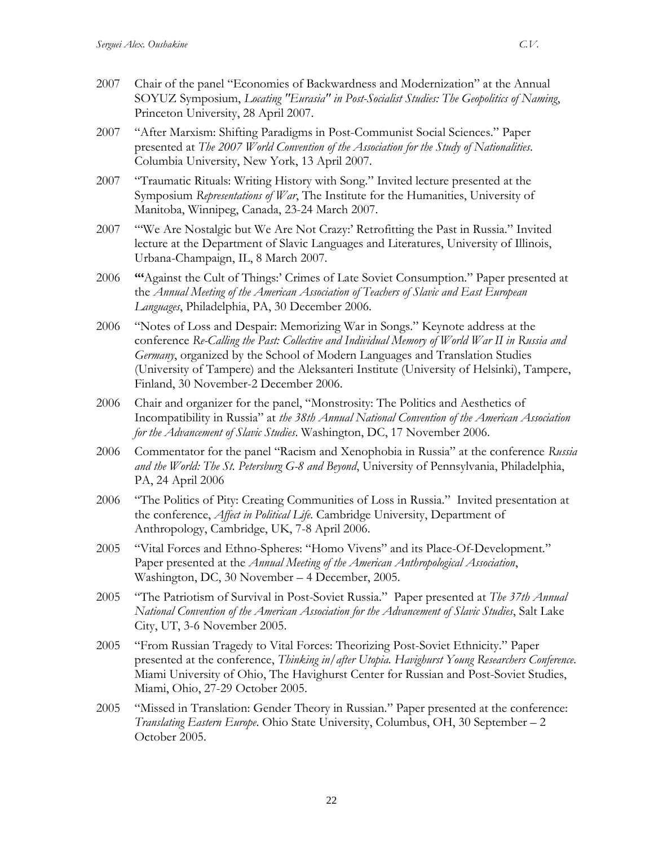- 2007 Chair of the panel "Economies of Backwardness and Modernization" at the Annual SOYUZ Symposium, *Locating "Eurasia" in Post-Socialist Studies: The Geopolitics of Naming*, Princeton University, 28 April 2007.
- 2007 "After Marxism: Shifting Paradigms in Post-Communist Social Sciences." Paper presented at *The 2007 World Convention of the Association for the Study of Nationalities*. Columbia University, New York, 13 April 2007.
- 2007 "Traumatic Rituals: Writing History with Song." Invited lecture presented at the Symposium *Representations of War*, The Institute for the Humanities, University of Manitoba, Winnipeg, Canada, 23-24 March 2007.
- 2007 "'We Are Nostalgic but We Are Not Crazy:' Retrofitting the Past in Russia." Invited lecture at the Department of Slavic Languages and Literatures, University of Illinois, Urbana-Champaign, IL, 8 March 2007.
- 2006 **"'**Against the Cult of Things:' Crimes of Late Soviet Consumption." Paper presented at the *Annual Meeting of the American Association of Teachers of Slavic and East European Languages*, Philadelphia, PA, 30 December 2006.
- 2006 "Notes of Loss and Despair: Memorizing War in Songs." Keynote address at the conference *Re-Calling the Past: Collective and Individual Memory of World War II in Russia and Germany*, organized by the School of Modern Languages and Translation Studies (University of Tampere) and the Aleksanteri Institute (University of Helsinki), Tampere, Finland, 30 November-2 December 2006.
- 2006 Chair and organizer for the panel, "Monstrosity: The Politics and Aesthetics of Incompatibility in Russia" at *the 38th Annual National Convention of the American Association for the Advancement of Slavic Studies*. Washington, DC, 17 November 2006.
- 2006 Commentator for the panel "Racism and Xenophobia in Russia" at the conference *Russia and the World: The St. Petersburg G-8 and Beyond*, University of Pennsylvania, Philadelphia, PA, 24 April 2006
- 2006 "The Politics of Pity: Creating Communities of Loss in Russia." Invited presentation at the conference, *Affect in Political Life.* Cambridge University, Department of Anthropology, Cambridge, UK, 7-8 April 2006.
- 2005 "Vital Forces and Ethno-Spheres: "Homo Vivens" and its Place-Of-Development." Paper presented at the *Annual Meeting of the American Anthropological Association*, Washington, DC, 30 November – 4 December, 2005.
- 2005 "The Patriotism of Survival in Post-Soviet Russia." Paper presented at *The 37th Annual National Convention of the American Association for the Advancement of Slavic Studies*, Salt Lake City, UT, 3-6 November 2005.
- 2005 "From Russian Tragedy to Vital Forces: Theorizing Post-Soviet Ethnicity." Paper presented at the conference, *Thinking in/after Utopia. Havighurst Young Researchers Conference*. Miami University of Ohio, The Havighurst Center for Russian and Post-Soviet Studies, Miami, Ohio, 27-29 October 2005.
- 2005 "Missed in Translation: Gender Theory in Russian." Paper presented at the conference: *Translating Eastern Europe*. Ohio State University, Columbus, OH, 30 September – 2 October 2005.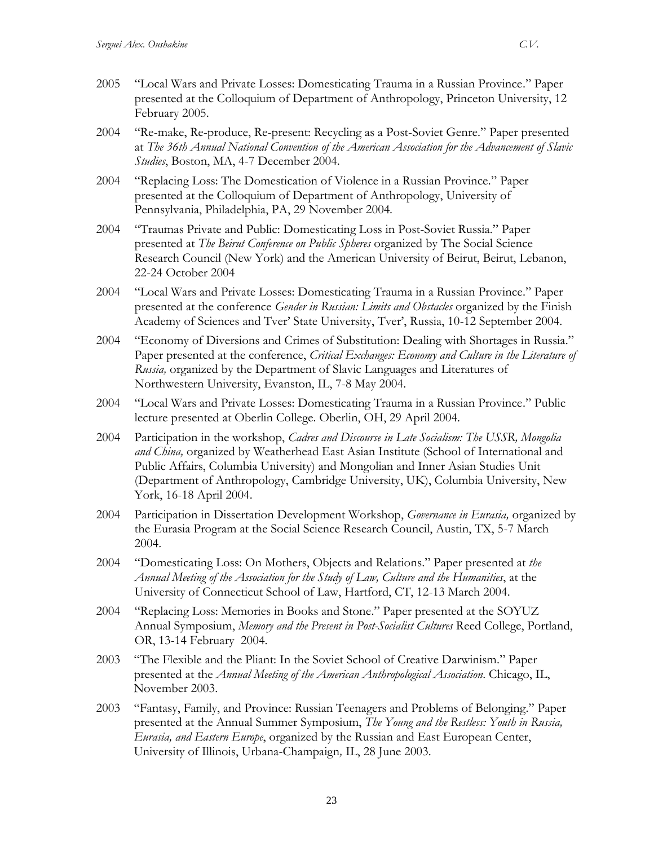- 2005 "Local Wars and Private Losses: Domesticating Trauma in a Russian Province." Paper presented at the Colloquium of Department of Anthropology, Princeton University, 12 February 2005.
- 2004 "Re-make, Re-produce, Re-present: Recycling as a Post-Soviet Genre." Paper presented at *The 36th Annual National Convention of the American Association for the Advancement of Slavic Studies*, Boston, MA, 4-7 December 2004.
- 2004 "Replacing Loss: The Domestication of Violence in a Russian Province." Paper presented at the Colloquium of Department of Anthropology, University of Pennsylvania, Philadelphia, PA, 29 November 2004.
- 2004 "Traumas Private and Public: Domesticating Loss in Post-Soviet Russia." Paper presented at *The Beirut Conference on Public Spheres* organized by The Social Science Research Council (New York) and the American University of Beirut, Beirut, Lebanon, 22-24 October 2004
- 2004 "Local Wars and Private Losses: Domesticating Trauma in a Russian Province." Paper presented at the conference *Gender in Russian: Limits and Obstacles* organized by the Finish Academy of Sciences and Tver' State University, Tver', Russia, 10-12 September 2004.
- 2004 "Economy of Diversions and Crimes of Substitution: Dealing with Shortages in Russia." Paper presented at the conference, *Critical Exchanges: Economy and Culture in the Literature of Russia,* organized by the Department of Slavic Languages and Literatures of Northwestern University, Evanston, IL, 7-8 May 2004.
- 2004 "Local Wars and Private Losses: Domesticating Trauma in a Russian Province." Public lecture presented at Oberlin College. Oberlin, OH, 29 April 2004.
- 2004 Participation in the workshop, *Cadres and Discourse in Late Socialism: The USSR, Mongolia and China,* organized by Weatherhead East Asian Institute (School of International and Public Affairs, Columbia University) and Mongolian and Inner Asian Studies Unit (Department of Anthropology, Cambridge University, UK), Columbia University, New York, 16-18 April 2004.
- 2004 Participation in Dissertation Development Workshop, *Governance in Eurasia,* organized by the Eurasia Program at the Social Science Research Council, Austin, TX, 5-7 March 2004.
- 2004 "Domesticating Loss: On Mothers, Objects and Relations." Paper presented at *the Annual Meeting of the Association for the Study of Law, Culture and the Humanities*, at the University of Connecticut School of Law, Hartford, CT, 12-13 March 2004.
- 2004 "Replacing Loss: Memories in Books and Stone." Paper presented at the SOYUZ Annual Symposium, *Memory and the Present in Post-Socialist Cultures* Reed College, Portland, OR, 13-14 February 2004.
- 2003 "The Flexible and the Pliant: In the Soviet School of Creative Darwinism." Paper presented at the *Annual Meeting of the American Anthropological Association*. Chicago, IL, November 2003.
- 2003 "Fantasy, Family, and Province: Russian Teenagers and Problems of Belonging." Paper presented at the Annual Summer Symposium, *The Young and the Restless: Youth in Russia, Eurasia, and Eastern Europe*, organized by the Russian and East European Center, University of Illinois, Urbana-Champaign*,* IL, 28 June 2003.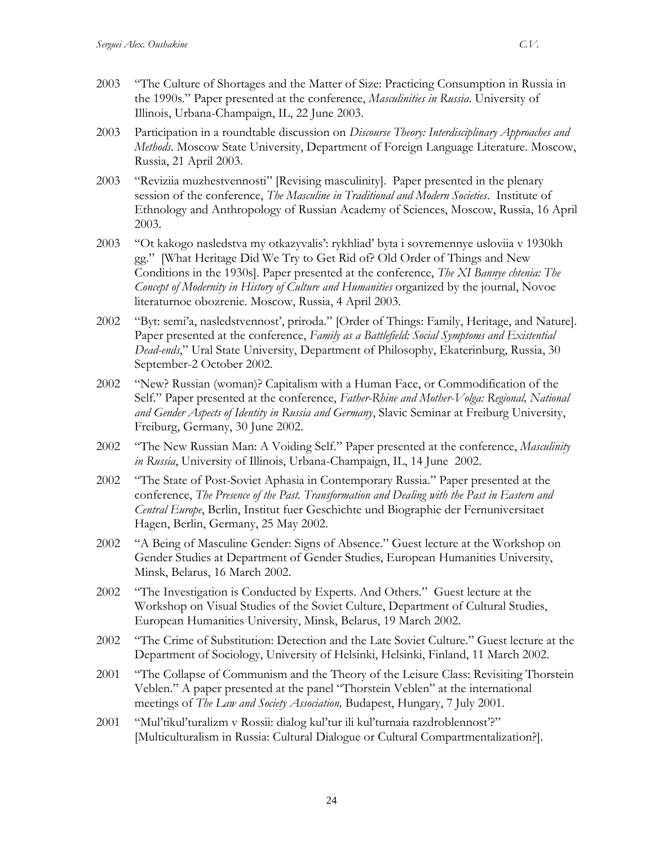- 2003 "The Culture of Shortages and the Matter of Size: Practicing Consumption in Russia in the 1990s." Paper presented at the conference, *Masculinities in Russia*. University of Illinois, Urbana-Champaign, IL, 22 June 2003.
- 2003 Participation in a roundtable discussion on *Discourse Theory: Interdisciplinary Approaches and Methods*. Moscow State University, Department of Foreign Language Literature. Moscow, Russia, 21 April 2003.
- 2003 "Reviziia muzhestvennosti" [Revising masculinity]. Paper presented in the plenary session of the conference, *The Masculine in Traditional and Modern Societies*. Institute of Ethnology and Anthropology of Russian Academy of Sciences, Moscow, Russia, 16 April 2003.
- 2003 "Ot kakogo nasledstva my otkazyvalis': rykhliad' byta i sovremennye usloviia v 1930kh gg." [What Heritage Did We Try to Get Rid of? Old Order of Things and New Conditions in the 1930s]. Paper presented at the conference, *The XI Bannye chtenia: The Concept of Modernity in History of Culture and Humanities* organized by the journal, Novoe literaturnoe obozrenie. Moscow, Russia, 4 April 2003.
- 2002 "Byt: semi'a, nasledstvennost', priroda." [Order of Things: Family, Heritage, and Nature]. Paper presented at the conference, *Family as a Battlefield: Social Symptoms and Existential Dead-ends*," Ural State University, Department of Philosophy, Ekaterinburg, Russia, 30 September-2 October 2002.
- 2002 "New? Russian (woman)? Capitalism with a Human Face, or Commodification of the Self." Paper presented at the conference, *Father-Rhine and Mother-Volga: Regional, National and Gender Aspects of Identity in Russia and Germany*, Slavic Seminar at Freiburg University, Freiburg, Germany, 30 June 2002.
- 2002 "The New Russian Man: A Voiding Self." Paper presented at the conference, *Masculinity in Russia*, University of Illinois, Urbana-Champaign, IL, 14 June 2002.
- 2002 "The State of Post-Soviet Aphasia in Contemporary Russia." Paper presented at the conference, *The Presence of the Past. Transformation and Dealing with the Past in Eastern and Central Europe*, Berlin, Institut fuer Geschichte und Biographie der Fernuniversitaet Hagen, Berlin, Germany, 25 May 2002.
- 2002 "A Being of Masculine Gender: Signs of Absence." Guest lecture at the Workshop on Gender Studies at Department of Gender Studies, European Humanities University, Minsk, Belarus, 16 March 2002.
- 2002 "The Investigation is Conducted by Experts. And Others*.*" Guest lecture at the Workshop on Visual Studies of the Soviet Culture, Department of Cultural Studies, European Humanities University, Minsk, Belarus, 19 March 2002.
- 2002 "The Crime of Substitution: Detection and the Late Soviet Culture." Guest lecture at the Department of Sociology, University of Helsinki, Helsinki, Finland, 11 March 2002.
- 2001 "The Collapse of Communism and the Theory of the Leisure Class: Revisiting Thorstein Veblen." A paper presented at the panel "Thorstein Veblen" at the international meetings of *The Law and Society Association,* Budapest, Hungary, 7 July 2001.
- 2001 "Mul'tikul'turalizm v Rossii: dialog kul'tur ili kul'turnaia razdroblennost'?" [Multiculturalism in Russia: Cultural Dialogue or Cultural Compartmentalization?].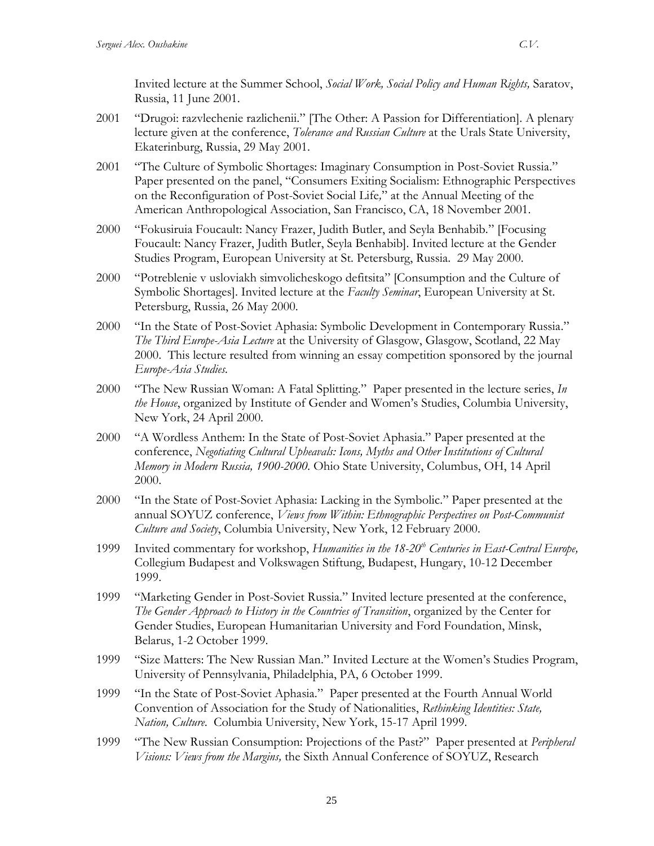Invited lecture at the Summer School, *Social Work, Social Policy and Human Rights,* Saratov, Russia, 11 June 2001.

- 2001 "Drugoi: razvlechenie razlichenii." [The Other: A Passion for Differentiation]. A plenary lecture given at the conference, *Tolerance and Russian Culture* at the Urals State University, Ekaterinburg, Russia, 29 May 2001.
- 2001 "The Culture of Symbolic Shortages: Imaginary Consumption in Post-Soviet Russia." Paper presented on the panel, "Consumers Exiting Socialism: Ethnographic Perspectives on the Reconfiguration of Post-Soviet Social Life*,*" at the Annual Meeting of the American Anthropological Association, San Francisco, CA, 18 November 2001.
- 2000 "Fokusiruia Foucault: Nancy Frazer, Judith Butler, and Seyla Benhabib." [Focusing Foucault: Nancy Frazer, Judith Butler, Seyla Benhabib]. Invited lecture at the Gender Studies Program, European University at St. Petersburg, Russia. 29 May 2000.
- 2000 "Potreblenie v usloviakh simvolicheskogo defitsita" [Consumption and the Culture of Symbolic Shortages]. Invited lecture at the *Faculty Seminar*, European University at St. Petersburg, Russia, 26 May 2000.
- 2000 "In the State of Post-Soviet Aphasia: Symbolic Development in Contemporary Russia." *The Third Europe-Asia Lecture* at the University of Glasgow, Glasgow, Scotland, 22 May 2000. This lecture resulted from winning an essay competition sponsored by the journal *Europe-Asia Studies.*
- 2000 "The New Russian Woman: A Fatal Splitting." Paper presented in the lecture series, *In the House*, organized by Institute of Gender and Women's Studies, Columbia University, New York, 24 April 2000.
- 2000 "A Wordless Anthem: In the State of Post-Soviet Aphasia." Paper presented at the conference, *Negotiating Cultural Upheavals: Icons, Myths and Other Institutions of Cultural Memory in Modern Russia, 1900-2000.* Ohio State University, Columbus, OH, 14 April 2000.
- 2000 "In the State of Post-Soviet Aphasia: Lacking in the Symbolic." Paper presented at the annual SOYUZ conference, *Views from Within: Ethnographic Perspectives on Post-Communist Culture and Society*, Columbia University, New York, 12 February 2000.
- 1999 Invited commentary for workshop, *Humanities in the 18-20th Centuries in East-Central Europe,* Collegium Budapest and Volkswagen Stiftung, Budapest, Hungary, 10-12 December 1999.
- 1999 "Marketing Gender in Post-Soviet Russia." Invited lecture presented at the conference, *The Gender Approach to History in the Countries of Transition*, organized by the Center for Gender Studies, European Humanitarian University and Ford Foundation, Minsk, Belarus, 1-2 October 1999.
- 1999 "Size Matters: The New Russian Man." Invited Lecture at the Women's Studies Program, University of Pennsylvania, Philadelphia, PA, 6 October 1999.
- 1999 "In the State of Post-Soviet Aphasia." Paper presented at the Fourth Annual World Convention of Association for the Study of Nationalities, *Rethinking Identities: State, Nation, Culture*. Columbia University, New York, 15-17 April 1999.
- 1999 "The New Russian Consumption: Projections of the Past?" Paper presented at *Peripheral Visions: Views from the Margins,* the Sixth Annual Conference of SOYUZ, Research